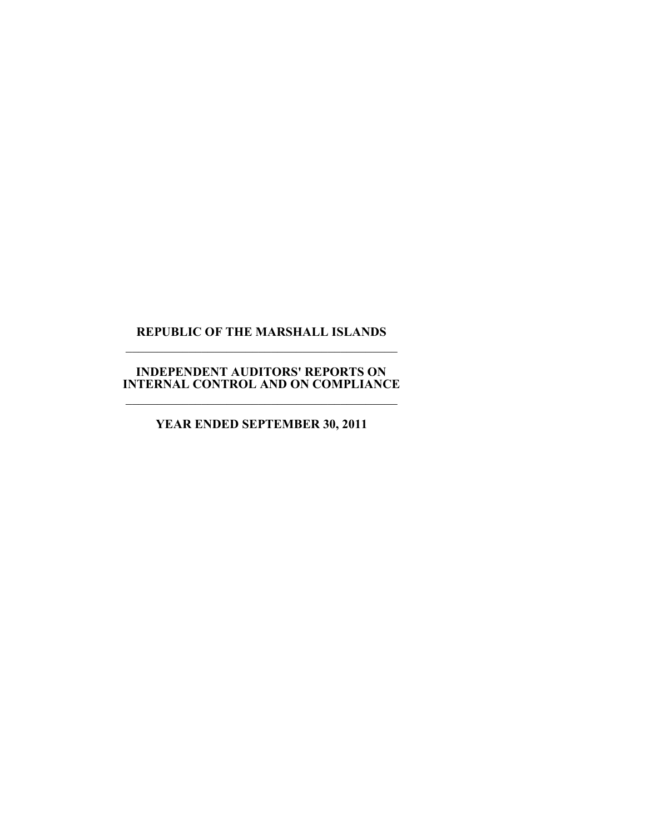# **REPUBLIC OF THE MARSHALL ISLANDS**   $\overline{\phantom{a}}$  , and the set of the set of the set of the set of the set of the set of the set of the set of the set of the set of the set of the set of the set of the set of the set of the set of the set of the set of the s

#### **INDEPENDENT AUDITORS' REPORTS ON INTERNAL CONTROL AND ON COMPLIANCE**   $\overline{\phantom{a}}$  , and the set of the set of the set of the set of the set of the set of the set of the set of the set of the set of the set of the set of the set of the set of the set of the set of the set of the set of the s

**YEAR ENDED SEPTEMBER 30, 2011**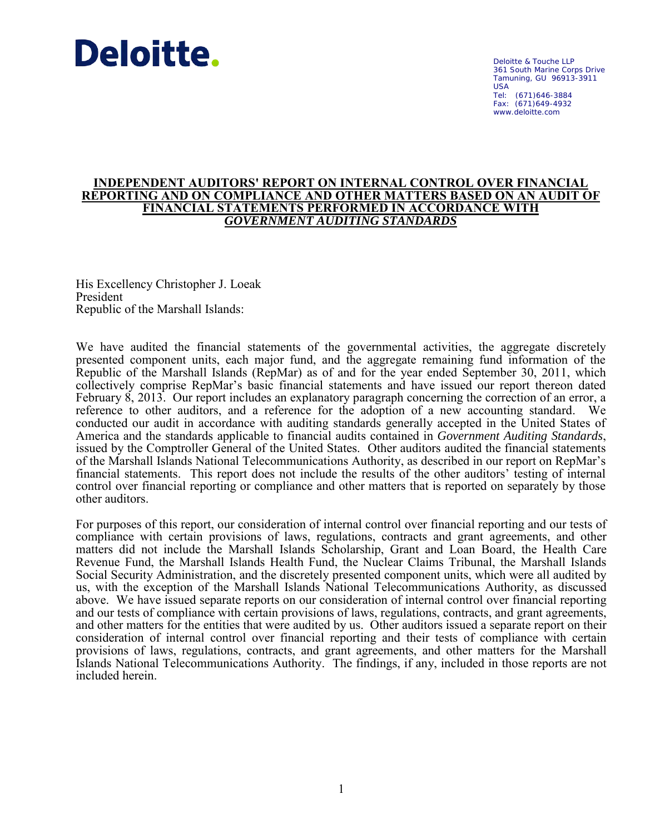# **Deloitte.**

Deloitte & Touche LLP 361 South Marine Corps Drive Tamuning, GU 96913-3911 USA Tel: (671)646-3884 Fax: (671)649-4932 www.deloitte.com

#### **INDEPENDENT AUDITORS' REPORT ON INTERNAL CONTROL OVER FINANCIAL REPORTING AND ON COMPLIANCE AND OTHER MATTERS BASED ON AN AUDIT OF FINANCIAL STATEMENTS PERFORMED IN ACCORDANCE WITH**  *GOVERNMENT AUDITING STANDARDS*

His Excellency Christopher J. Loeak President Republic of the Marshall Islands:

We have audited the financial statements of the governmental activities, the aggregate discretely presented component units, each major fund, and the aggregate remaining fund information of the Republic of the Marshall Islands (RepMar) as of and for the year ended September 30, 2011, which collectively comprise RepMar's basic financial statements and have issued our report thereon dated February 8, 2013. Our report includes an explanatory paragraph concerning the correction of an error, a reference to other auditors, and a reference for the adoption of a new accounting standard. We conducted our audit in accordance with auditing standards generally accepted in the United States of America and the standards applicable to financial audits contained in *Government Auditing Standards*, issued by the Comptroller General of the United States. Other auditors audited the financial statements of the Marshall Islands National Telecommunications Authority, as described in our report on RepMar's financial statements. This report does not include the results of the other auditors' testing of internal control over financial reporting or compliance and other matters that is reported on separately by those other auditors.

For purposes of this report, our consideration of internal control over financial reporting and our tests of compliance with certain provisions of laws, regulations, contracts and grant agreements, and other matters did not include the Marshall Islands Scholarship, Grant and Loan Board, the Health Care Revenue Fund, the Marshall Islands Health Fund, the Nuclear Claims Tribunal, the Marshall Islands Social Security Administration, and the discretely presented component units, which were all audited by us, with the exception of the Marshall Islands National Telecommunications Authority, as discussed above. We have issued separate reports on our consideration of internal control over financial reporting and our tests of compliance with certain provisions of laws, regulations, contracts, and grant agreements, and other matters for the entities that were audited by us. Other auditors issued a separate report on their consideration of internal control over financial reporting and their tests of compliance with certain provisions of laws, regulations, contracts, and grant agreements, and other matters for the Marshall Islands National Telecommunications Authority. The findings, if any, included in those reports are not included herein.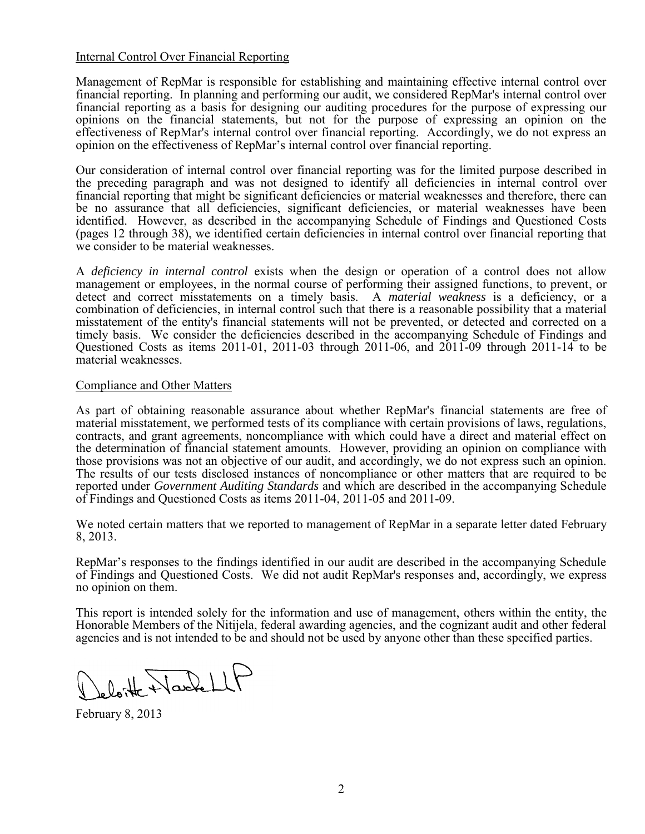#### Internal Control Over Financial Reporting

Management of RepMar is responsible for establishing and maintaining effective internal control over financial reporting. In planning and performing our audit, we considered RepMar's internal control over financial reporting as a basis for designing our auditing procedures for the purpose of expressing our opinions on the financial statements, but not for the purpose of expressing an opinion on the effectiveness of RepMar's internal control over financial reporting. Accordingly, we do not express an opinion on the effectiveness of RepMar's internal control over financial reporting.

Our consideration of internal control over financial reporting was for the limited purpose described in the preceding paragraph and was not designed to identify all deficiencies in internal control over financial reporting that might be significant deficiencies or material weaknesses and therefore, there can be no assurance that all deficiencies, significant deficiencies, or material weaknesses have been identified. However, as described in the accompanying Schedule of Findings and Questioned Costs (pages 12 through 38), we identified certain deficiencies in internal control over financial reporting that we consider to be material weaknesses.

A *deficiency in internal control* exists when the design or operation of a control does not allow management or employees, in the normal course of performing their assigned functions, to prevent, or detect and correct misstatements on a timely basis. A *material weakness* is a deficiency, or a combination of deficiencies, in internal control such that there is a reasonable possibility that a material misstatement of the entity's financial statements will not be prevented, or detected and corrected on a timely basis. We consider the deficiencies described in the accompanying Schedule of Findings and Questioned Costs as items 2011-01, 2011-03 through 2011-06, and 2011-09 through 2011-14 to be material weaknesses.

#### Compliance and Other Matters

As part of obtaining reasonable assurance about whether RepMar's financial statements are free of material misstatement, we performed tests of its compliance with certain provisions of laws, regulations, contracts, and grant agreements, noncompliance with which could have a direct and material effect on the determination of financial statement amounts. However, providing an opinion on compliance with those provisions was not an objective of our audit, and accordingly, we do not express such an opinion. The results of our tests disclosed instances of noncompliance or other matters that are required to be reported under *Government Auditing Standards* and which are described in the accompanying Schedule of Findings and Questioned Costs as items 2011-04, 2011-05 and 2011-09.

We noted certain matters that we reported to management of RepMar in a separate letter dated February 8, 2013.

RepMar's responses to the findings identified in our audit are described in the accompanying Schedule of Findings and Questioned Costs. We did not audit RepMar's responses and, accordingly, we express no opinion on them.

This report is intended solely for the information and use of management, others within the entity, the Honorable Members of the Nitijela, federal awarding agencies, and the cognizant audit and other federal agencies and is not intended to be and should not be used by anyone other than these specified parties.

eloite Nachell

February 8, 2013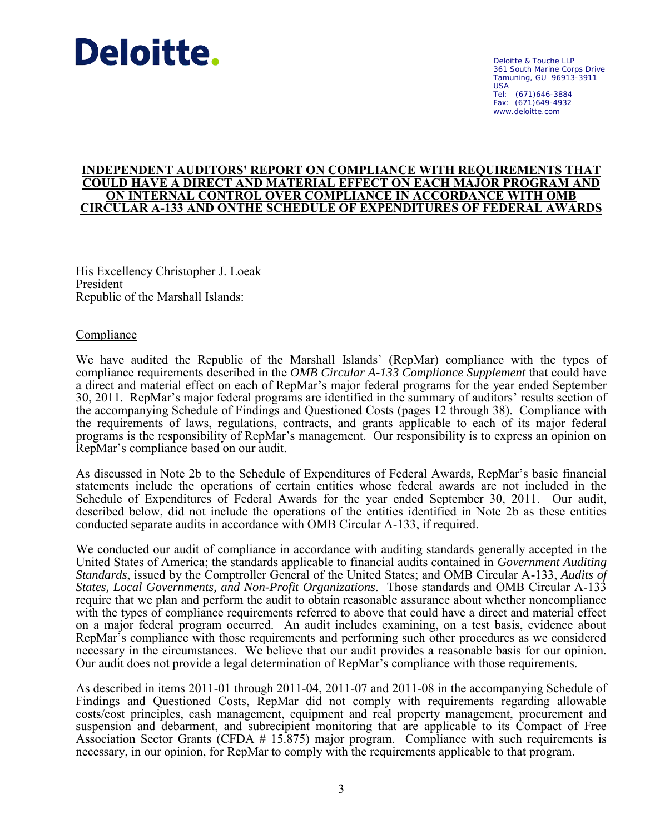# **Deloitte.**

Deloitte & Touche LLP 361 South Marine Corps Drive Tamuning, GU 96913-3911 USA Tel: (671)646-3884 Fax: (671)649-4932 www.deloitte.com

#### **INDEPENDENT AUDITORS' REPORT ON COMPLIANCE WITH REQUIREMENTS THAT COULD HAVE A DIRECT AND MATERIAL EFFECT ON EACH MAJOR PROGRAM AND ON INTERNAL CONTROL OVER COMPLIANCE IN ACCORDANCE WITH OMB CIRCULAR A-133 AND ONTHE SCHEDULE OF EXPENDITURES OF FEDERAL AWARDS**

His Excellency Christopher J. Loeak President Republic of the Marshall Islands:

#### Compliance

We have audited the Republic of the Marshall Islands' (RepMar) compliance with the types of compliance requirements described in the *OMB Circular A-133 Compliance Supplement* that could have a direct and material effect on each of RepMar's major federal programs for the year ended September 30, 2011. RepMar's major federal programs are identified in the summary of auditors' results section of the accompanying Schedule of Findings and Questioned Costs (pages 12 through 38). Compliance with the requirements of laws, regulations, contracts, and grants applicable to each of its major federal programs is the responsibility of RepMar's management. Our responsibility is to express an opinion on RepMar's compliance based on our audit.

As discussed in Note 2b to the Schedule of Expenditures of Federal Awards, RepMar's basic financial statements include the operations of certain entities whose federal awards are not included in the Schedule of Expenditures of Federal Awards for the year ended September 30, 2011. Our audit, described below, did not include the operations of the entities identified in Note 2b as these entities conducted separate audits in accordance with OMB Circular A-133, if required.

We conducted our audit of compliance in accordance with auditing standards generally accepted in the United States of America; the standards applicable to financial audits contained in *Government Auditing Standards*, issued by the Comptroller General of the United States; and OMB Circular A-133, *Audits of States, Local Governments, and Non-Profit Organizations*. Those standards and OMB Circular A-133 require that we plan and perform the audit to obtain reasonable assurance about whether noncompliance with the types of compliance requirements referred to above that could have a direct and material effect on a major federal program occurred. An audit includes examining, on a test basis, evidence about RepMar's compliance with those requirements and performing such other procedures as we considered necessary in the circumstances. We believe that our audit provides a reasonable basis for our opinion. Our audit does not provide a legal determination of RepMar's compliance with those requirements.

As described in items 2011-01 through 2011-04, 2011-07 and 2011-08 in the accompanying Schedule of Findings and Questioned Costs, RepMar did not comply with requirements regarding allowable costs/cost principles, cash management, equipment and real property management, procurement and suspension and debarment, and subrecipient monitoring that are applicable to its Compact of Free Association Sector Grants (CFDA # 15.875) major program. Compliance with such requirements is necessary, in our opinion, for RepMar to comply with the requirements applicable to that program.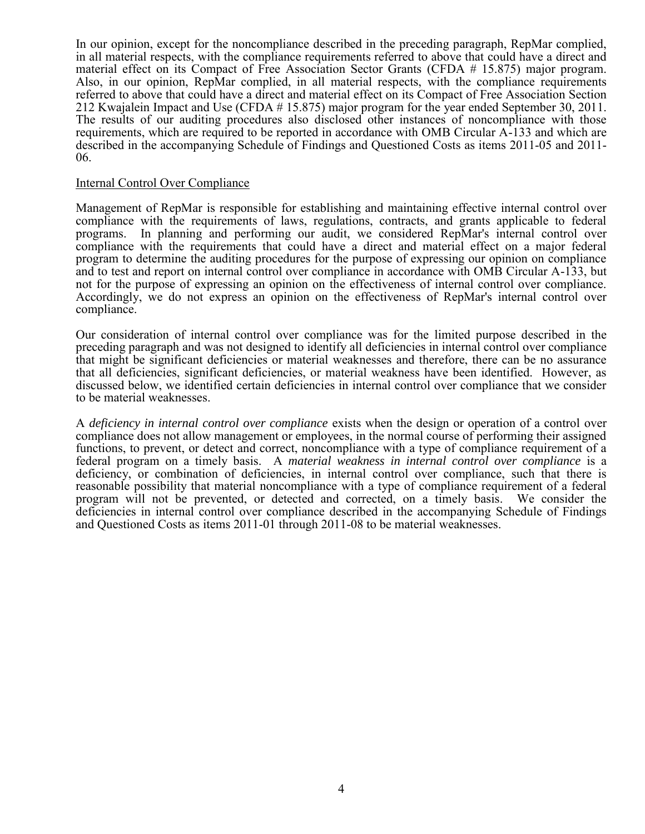In our opinion, except for the noncompliance described in the preceding paragraph, RepMar complied, in all material respects, with the compliance requirements referred to above that could have a direct and material effect on its Compact of Free Association Sector Grants (CFDA # 15.875) major program. Also, in our opinion, RepMar complied, in all material respects, with the compliance requirements referred to above that could have a direct and material effect on its Compact of Free Association Section 212 Kwajalein Impact and Use (CFDA # 15.875) major program for the year ended September 30, 2011. The results of our auditing procedures also disclosed other instances of noncompliance with those requirements, which are required to be reported in accordance with OMB Circular A-133 and which are described in the accompanying Schedule of Findings and Questioned Costs as items 2011-05 and 2011- 06.

#### Internal Control Over Compliance

Management of RepMar is responsible for establishing and maintaining effective internal control over compliance with the requirements of laws, regulations, contracts, and grants applicable to federal programs. In planning and performing our audit, we considered RepMar's internal control over compliance with the requirements that could have a direct and material effect on a major federal program to determine the auditing procedures for the purpose of expressing our opinion on compliance and to test and report on internal control over compliance in accordance with OMB Circular A-133, but not for the purpose of expressing an opinion on the effectiveness of internal control over compliance. Accordingly, we do not express an opinion on the effectiveness of RepMar's internal control over compliance.

Our consideration of internal control over compliance was for the limited purpose described in the preceding paragraph and was not designed to identify all deficiencies in internal control over compliance that might be significant deficiencies or material weaknesses and therefore, there can be no assurance that all deficiencies, significant deficiencies, or material weakness have been identified. However, as discussed below, we identified certain deficiencies in internal control over compliance that we consider to be material weaknesses.

A *deficiency in internal control over compliance* exists when the design or operation of a control over compliance does not allow management or employees, in the normal course of performing their assigned functions, to prevent, or detect and correct, noncompliance with a type of compliance requirement of a federal program on a timely basis. A *material weakness in internal control over compliance* is a deficiency, or combination of deficiencies, in internal control over compliance, such that there is reasonable possibility that material noncompliance with a type of compliance requirement of a federal program will not be prevented, or detected and corrected, on a timely basis. We consider the deficiencies in internal control over compliance described in the accompanying Schedule of Findings and Questioned Costs as items 2011-01 through 2011-08 to be material weaknesses.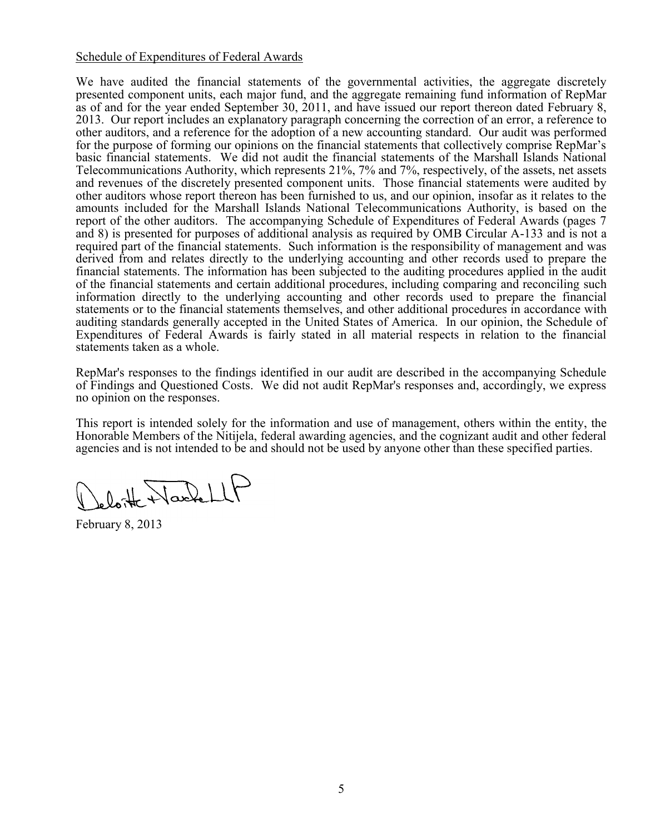#### Schedule of Expenditures of Federal Awards

We have audited the financial statements of the governmental activities, the aggregate discretely presented component units, each major fund, and the aggregate remaining fund information of RepMar as of and for the year ended September 30, 2011, and have issued our report thereon dated February 8, 2013. Our report includes an explanatory paragraph concerning the correction of an error, a reference to other auditors, and a reference for the adoption of a new accounting standard. Our audit was performed for the purpose of forming our opinions on the financial statements that collectively comprise RepMar's basic financial statements. We did not audit the financial statements of the Marshall Islands National Telecommunications Authority, which represents 21%, 7% and 7%, respectively, of the assets, net assets and revenues of the discretely presented component units. Those financial statements were audited by other auditors whose report thereon has been furnished to us, and our opinion, insofar as it relates to the amounts included for the Marshall Islands National Telecommunications Authority, is based on the report of the other auditors. The accompanying Schedule of Expenditures of Federal Awards (pages 7 and 8) is presented for purposes of additional analysis as required by OMB Circular A-133 and is not a required part of the financial statements. Such information is the responsibility of management and was derived from and relates directly to the underlying accounting and other records used to prepare the financial statements. The information has been subjected to the auditing procedures applied in the audit of the financial statements and certain additional procedures, including comparing and reconciling such information directly to the underlying accounting and other records used to prepare the financial statements or to the financial statements themselves, and other additional procedures in accordance with auditing standards generally accepted in the United States of America. In our opinion, the Schedule of Expenditures of Federal Awards is fairly stated in all material respects in relation to the financial statements taken as a whole.

RepMar's responses to the findings identified in our audit are described in the accompanying Schedule of Findings and Questioned Costs. We did not audit RepMar's responses and, accordingly, we express no opinion on the responses.

This report is intended solely for the information and use of management, others within the entity, the Honorable Members of the Nitijela, federal awarding agencies, and the cognizant audit and other federal agencies and is not intended to be and should not be used by anyone other than these specified parties.

eloitte NacheLLP

February 8, 2013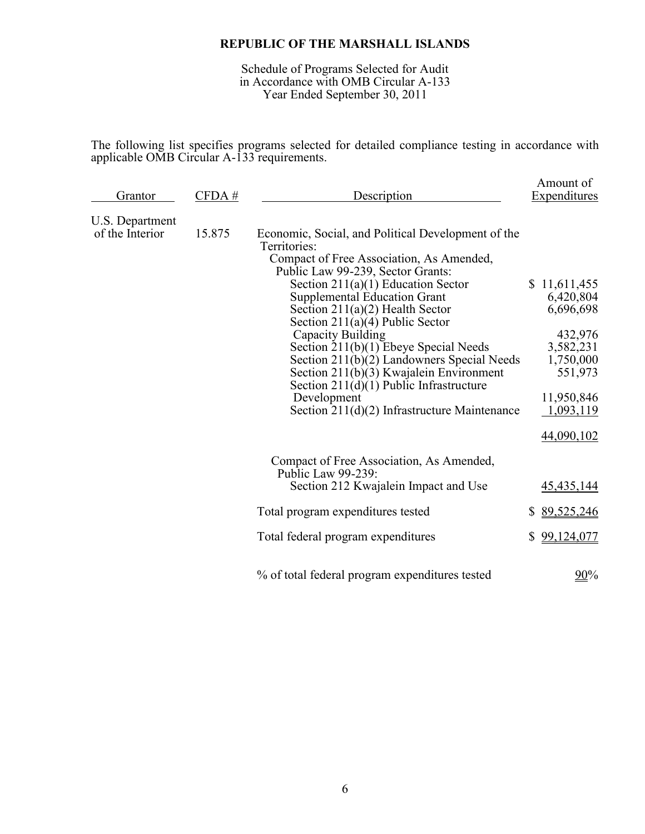Schedule of Programs Selected for Audit in Accordance with OMB Circular A-133 Year Ended September 30, 2011

The following list specifies programs selected for detailed compliance testing in accordance with applicable OMB Circular A-133 requirements.

| Grantor                            | CFDA # | Description                                                                                                                                                                                                                                                                                                                                                                                                                                                                                                                                                                         |    | Amount of<br><b>Expenditures</b>                                                                                                |
|------------------------------------|--------|-------------------------------------------------------------------------------------------------------------------------------------------------------------------------------------------------------------------------------------------------------------------------------------------------------------------------------------------------------------------------------------------------------------------------------------------------------------------------------------------------------------------------------------------------------------------------------------|----|---------------------------------------------------------------------------------------------------------------------------------|
| U.S. Department<br>of the Interior | 15.875 | Economic, Social, and Political Development of the<br>Territories:<br>Compact of Free Association, As Amended,<br>Public Law 99-239, Sector Grants:<br>Section $211(a)(1)$ Education Sector<br><b>Supplemental Education Grant</b><br>Section $211(a)(2)$ Health Sector<br>Section $211(a)(4)$ Public Sector<br>Capacity Building<br>Section $211(b)(1)$ Ebeye Special Needs<br>Section 211(b)(2) Landowners Special Needs<br>Section 211(b)(3) Kwajalein Environment<br>Section $211(d)(1)$ Public Infrastructure<br>Development<br>Section $211(d)(2)$ Infrastructure Maintenance |    | \$11,611,455<br>6,420,804<br>6,696,698<br>432,976<br>3,582,231<br>1,750,000<br>551,973<br>11,950,846<br>1,093,119<br>44,090,102 |
|                                    |        | Compact of Free Association, As Amended,<br>Public Law 99-239:<br>Section 212 Kwajalein Impact and Use                                                                                                                                                                                                                                                                                                                                                                                                                                                                              |    | 45,435,144                                                                                                                      |
|                                    |        | Total program expenditures tested                                                                                                                                                                                                                                                                                                                                                                                                                                                                                                                                                   | S. | 89,525,246                                                                                                                      |
|                                    |        | Total federal program expenditures                                                                                                                                                                                                                                                                                                                                                                                                                                                                                                                                                  | \$ | 99,124,077                                                                                                                      |
|                                    |        | % of total federal program expenditures tested                                                                                                                                                                                                                                                                                                                                                                                                                                                                                                                                      |    | 90%                                                                                                                             |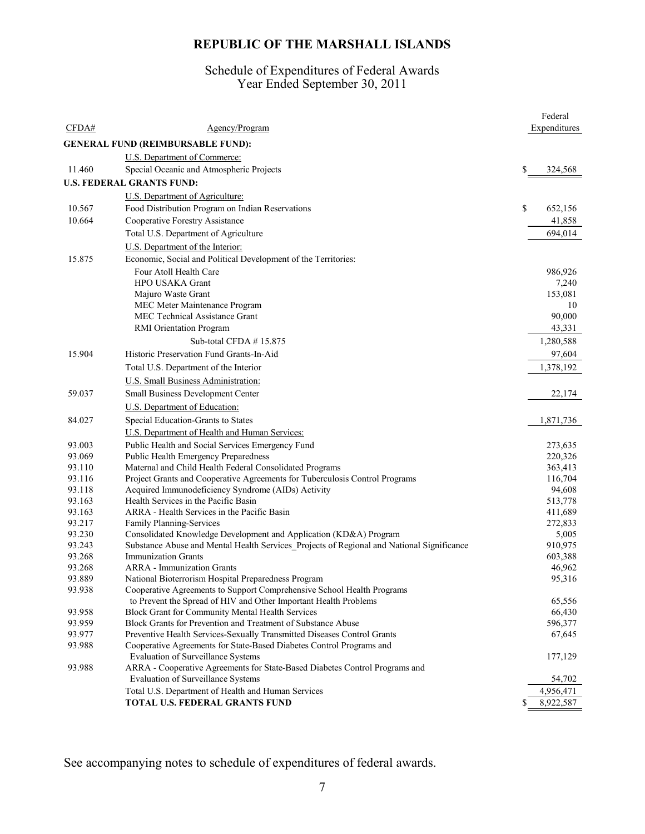#### Schedule of Expenditures of Federal Awards Year Ended September 30, 2011

|                  |                                                                                                                         | Federal           |
|------------------|-------------------------------------------------------------------------------------------------------------------------|-------------------|
| CFDA#            | Agency/Program                                                                                                          | Expenditures      |
|                  | <b>GENERAL FUND (REIMBURSABLE FUND):</b>                                                                                |                   |
|                  | U.S. Department of Commerce:                                                                                            |                   |
| 11.460           | Special Oceanic and Atmospheric Projects                                                                                | \$<br>324,568     |
|                  | <b>U.S. FEDERAL GRANTS FUND:</b>                                                                                        |                   |
|                  | U.S. Department of Agriculture:                                                                                         |                   |
| 10.567           | Food Distribution Program on Indian Reservations                                                                        | \$<br>652,156     |
| 10.664           | Cooperative Forestry Assistance                                                                                         | 41,858            |
|                  | Total U.S. Department of Agriculture                                                                                    | 694,014           |
|                  | U.S. Department of the Interior:                                                                                        |                   |
| 15.875           | Economic, Social and Political Development of the Territories:                                                          |                   |
|                  |                                                                                                                         |                   |
|                  | Four Atoll Health Care<br>HPO USAKA Grant                                                                               | 986,926           |
|                  | Majuro Waste Grant                                                                                                      | 7,240<br>153,081  |
|                  | MEC Meter Maintenance Program                                                                                           | 10                |
|                  | MEC Technical Assistance Grant                                                                                          | 90,000            |
|                  | RMI Orientation Program                                                                                                 | 43,331            |
|                  | Sub-total CFDA $#$ 15.875                                                                                               | 1,280,588         |
| 15.904           | Historic Preservation Fund Grants-In-Aid                                                                                |                   |
|                  |                                                                                                                         | 97,604            |
|                  | Total U.S. Department of the Interior                                                                                   | 1,378,192         |
|                  | <b>U.S. Small Business Administration:</b>                                                                              |                   |
| 59.037           | Small Business Development Center                                                                                       | 22,174            |
|                  | U.S. Department of Education:                                                                                           |                   |
| 84.027           | Special Education-Grants to States                                                                                      | 1,871,736         |
|                  | U.S. Department of Health and Human Services:                                                                           |                   |
| 93.003           | Public Health and Social Services Emergency Fund                                                                        | 273,635           |
| 93.069           | Public Health Emergency Preparedness                                                                                    | 220,326           |
| 93.110           | Maternal and Child Health Federal Consolidated Programs                                                                 | 363,413           |
| 93.116           | Project Grants and Cooperative Agreements for Tuberculosis Control Programs                                             | 116,704           |
| 93.118           | Acquired Immunodeficiency Syndrome (AIDs) Activity                                                                      | 94,608            |
| 93.163           | Health Services in the Pacific Basin                                                                                    | 513,778           |
| 93.163           | ARRA - Health Services in the Pacific Basin                                                                             | 411,689           |
| 93.217           | <b>Family Planning-Services</b>                                                                                         | 272,833           |
| 93.230           | Consolidated Knowledge Development and Application (KD&A) Program                                                       | 5,005             |
| 93.243<br>93.268 | Substance Abuse and Mental Health Services Projects of Regional and National Significance<br><b>Immunization Grants</b> | 910,975           |
| 93.268           | <b>ARRA</b> - Immunization Grants                                                                                       | 603,388<br>46,962 |
| 93.889           | National Bioterrorism Hospital Preparedness Program                                                                     | 95,316            |
| 93.938           | Cooperative Agreements to Support Comprehensive School Health Programs                                                  |                   |
|                  | to Prevent the Spread of HIV and Other Important Health Problems                                                        | 65,556            |
| 93.958           | Block Grant for Community Mental Health Services                                                                        | 66,430            |
| 93.959           | Block Grants for Prevention and Treatment of Substance Abuse                                                            | 596,377           |
| 93.977           | Preventive Health Services-Sexually Transmitted Diseases Control Grants                                                 | 67,645            |
| 93.988           | Cooperative Agreements for State-Based Diabetes Control Programs and                                                    |                   |
|                  | Evaluation of Surveillance Systems                                                                                      | 177,129           |
| 93.988           | ARRA - Cooperative Agreements for State-Based Diabetes Control Programs and                                             |                   |
|                  | Evaluation of Surveillance Systems                                                                                      | 54,702            |
|                  | Total U.S. Department of Health and Human Services                                                                      | 4,956,471         |
|                  | <b>TOTAL U.S. FEDERAL GRANTS FUND</b>                                                                                   | \$<br>8,922,587   |

See accompanying notes to schedule of expenditures of federal awards.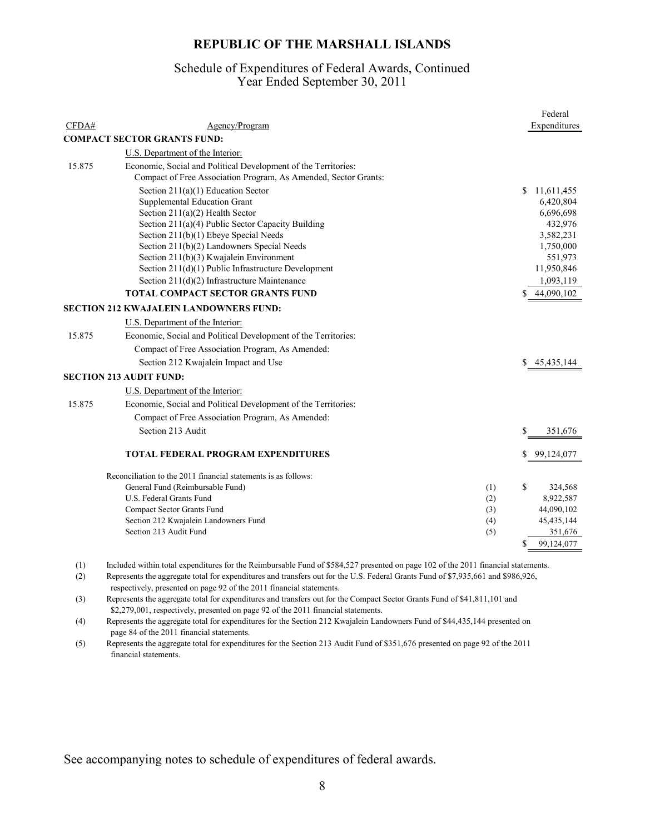#### Year Ended September 30, 2011 Schedule of Expenditures of Federal Awards, Continued

|        |                                                                                                                                                                                                                                                                                                                                                                                                             |     | Federal                                                                                                                |
|--------|-------------------------------------------------------------------------------------------------------------------------------------------------------------------------------------------------------------------------------------------------------------------------------------------------------------------------------------------------------------------------------------------------------------|-----|------------------------------------------------------------------------------------------------------------------------|
| CFDA#  | Agency/Program                                                                                                                                                                                                                                                                                                                                                                                              |     | Expenditures                                                                                                           |
|        | <b>COMPACT SECTOR GRANTS FUND:</b>                                                                                                                                                                                                                                                                                                                                                                          |     |                                                                                                                        |
|        | U.S. Department of the Interior:                                                                                                                                                                                                                                                                                                                                                                            |     |                                                                                                                        |
| 15.875 | Economic, Social and Political Development of the Territories:<br>Compact of Free Association Program, As Amended, Sector Grants:                                                                                                                                                                                                                                                                           |     |                                                                                                                        |
|        | Section $211(a)(1)$ Education Sector<br>Supplemental Education Grant<br>Section $211(a)(2)$ Health Sector<br>Section 211(a)(4) Public Sector Capacity Building<br>Section 211(b)(1) Ebeye Special Needs<br>Section 211(b)(2) Landowners Special Needs<br>Section $211(b)(3)$ Kwajalein Environment<br>Section 211(d)(1) Public Infrastructure Development<br>Section $211(d)(2)$ Infrastructure Maintenance |     | \$.<br>11,611,455<br>6,420,804<br>6,696,698<br>432,976<br>3,582,231<br>1,750,000<br>551,973<br>11,950,846<br>1,093,119 |
|        | <b>TOTAL COMPACT SECTOR GRANTS FUND</b>                                                                                                                                                                                                                                                                                                                                                                     |     | 44,090,102                                                                                                             |
|        | <b>SECTION 212 KWAJALEIN LANDOWNERS FUND:</b>                                                                                                                                                                                                                                                                                                                                                               |     |                                                                                                                        |
|        | U.S. Department of the Interior:                                                                                                                                                                                                                                                                                                                                                                            |     |                                                                                                                        |
| 15.875 | Economic, Social and Political Development of the Territories:                                                                                                                                                                                                                                                                                                                                              |     |                                                                                                                        |
|        | Compact of Free Association Program, As Amended:                                                                                                                                                                                                                                                                                                                                                            |     |                                                                                                                        |
|        | Section 212 Kwajalein Impact and Use                                                                                                                                                                                                                                                                                                                                                                        |     | \$45,435,144                                                                                                           |
|        | <b>SECTION 213 AUDIT FUND:</b>                                                                                                                                                                                                                                                                                                                                                                              |     |                                                                                                                        |
|        | U.S. Department of the Interior:                                                                                                                                                                                                                                                                                                                                                                            |     |                                                                                                                        |
| 15.875 | Economic, Social and Political Development of the Territories:                                                                                                                                                                                                                                                                                                                                              |     |                                                                                                                        |
|        | Compact of Free Association Program, As Amended:                                                                                                                                                                                                                                                                                                                                                            |     |                                                                                                                        |
|        | Section 213 Audit                                                                                                                                                                                                                                                                                                                                                                                           |     | S<br>351,676                                                                                                           |
|        | <b>TOTAL FEDERAL PROGRAM EXPENDITURES</b>                                                                                                                                                                                                                                                                                                                                                                   |     | \$99,124,077                                                                                                           |
|        | Reconciliation to the 2011 financial statements is as follows:                                                                                                                                                                                                                                                                                                                                              |     |                                                                                                                        |
|        | General Fund (Reimbursable Fund)                                                                                                                                                                                                                                                                                                                                                                            | (1) | \$<br>324,568                                                                                                          |
|        | U.S. Federal Grants Fund                                                                                                                                                                                                                                                                                                                                                                                    | (2) | 8,922,587                                                                                                              |
|        | Compact Sector Grants Fund                                                                                                                                                                                                                                                                                                                                                                                  | (3) | 44,090,102                                                                                                             |
|        | Section 212 Kwajalein Landowners Fund                                                                                                                                                                                                                                                                                                                                                                       | (4) | 45,435,144                                                                                                             |
|        | Section 213 Audit Fund                                                                                                                                                                                                                                                                                                                                                                                      | (5) | 351,676                                                                                                                |
|        |                                                                                                                                                                                                                                                                                                                                                                                                             |     | 99,124,077                                                                                                             |

(1) Included within total expenditures for the Reimbursable Fund of \$584,527 presented on page 102 of the 2011 financial statements.

(2) Represents the aggregate total for expenditures and transfers out for the U.S. Federal Grants Fund of \$7,935,661 and \$986,926, respectively, presented on page 92 of the 2011 financial statements.

(3) Represents the aggregate total for expenditures and transfers out for the Compact Sector Grants Fund of \$41,811,101 and \$2,279,001, respectively, presented on page 92 of the 2011 financial statements.

(4) Represents the aggregate total for expenditures for the Section 212 Kwajalein Landowners Fund of \$44,435,144 presented on page 84 of the 2011 financial statements.

(5) Represents the aggregate total for expenditures for the Section 213 Audit Fund of \$351,676 presented on page 92 of the 2011 financial statements.

See accompanying notes to schedule of expenditures of federal awards.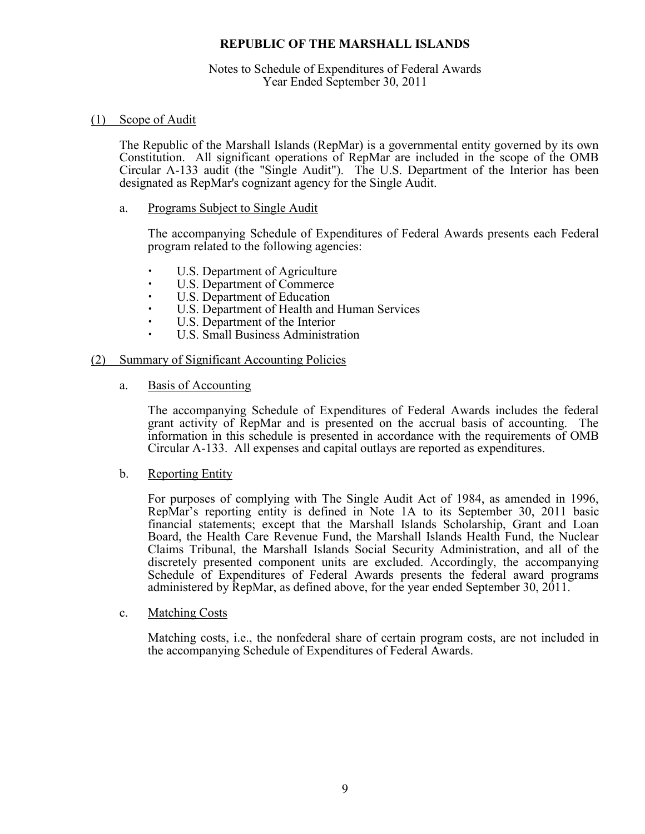#### Notes to Schedule of Expenditures of Federal Awards Year Ended September 30, 2011

#### (1) Scope of Audit

The Republic of the Marshall Islands (RepMar) is a governmental entity governed by its own Constitution. All significant operations of RepMar are included in the scope of the OMB Circular A-133 audit (the "Single Audit"). The U.S. Department of the Interior has been designated as RepMar's cognizant agency for the Single Audit.

a. Programs Subject to Single Audit

The accompanying Schedule of Expenditures of Federal Awards presents each Federal program related to the following agencies:

- U.S. Department of Agriculture<br>U.S. Department of Commerce
- U.S. Department of Commerce<br>U.S. Department of Education
- U.S. Department of Education
- U.S. Department of Health and Human Services
- U.S. Department of the Interior
- U.S. Small Business Administration

#### (2) Summary of Significant Accounting Policies

a. Basis of Accounting

The accompanying Schedule of Expenditures of Federal Awards includes the federal grant activity of RepMar and is presented on the accrual basis of accounting. The information in this schedule is presented in accordance with the requirements of OMB Circular A-133. All expenses and capital outlays are reported as expenditures.

b. Reporting Entity

For purposes of complying with The Single Audit Act of 1984, as amended in 1996, RepMar's reporting entity is defined in Note 1A to its September 30, 2011 basic financial statements; except that the Marshall Islands Scholarship, Grant and Loan Board, the Health Care Revenue Fund, the Marshall Islands Health Fund, the Nuclear Claims Tribunal, the Marshall Islands Social Security Administration, and all of the discretely presented component units are excluded. Accordingly, the accompanying Schedule of Expenditures of Federal Awards presents the federal award programs administered by RepMar, as defined above, for the year ended September 30, 2011.

c. Matching Costs

Matching costs, i.e., the nonfederal share of certain program costs, are not included in the accompanying Schedule of Expenditures of Federal Awards.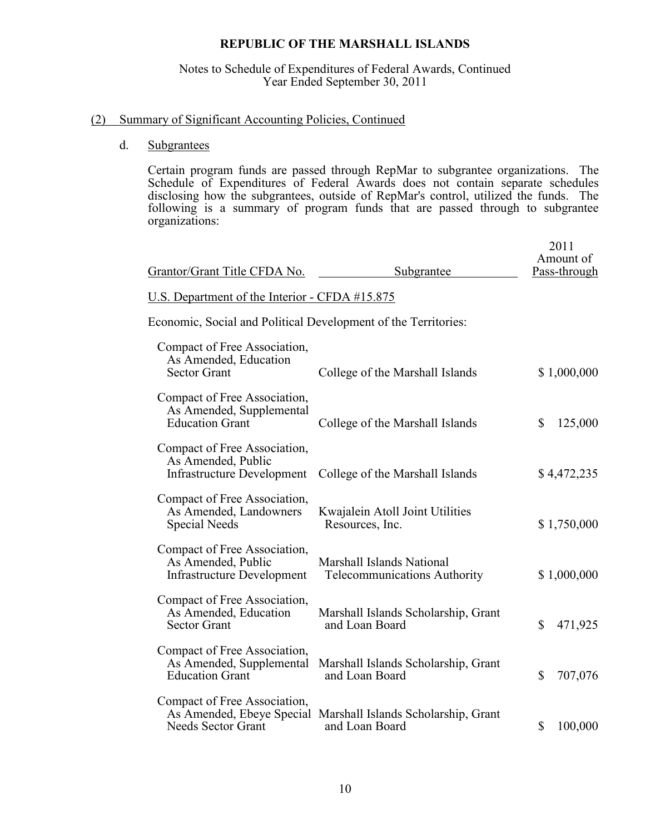#### Notes to Schedule of Expenditures of Federal Awards, Continued Year Ended September 30, 2011

# (2) Summary of Significant Accounting Policies, Continued

d. Subgrantees

Certain program funds are passed through RepMar to subgrantee organizations. The Schedule of Expenditures of Federal Awards does not contain separate schedules disclosing how the subgrantees, outside of RepMar's control, utilized the funds. The following is a summary of program funds that are passed through to subgrantee organizations:

| Grantor/Grant Title CFDA No.                                                            | Subgrantee                                                       | 2011<br>Amount of<br>Pass-through |
|-----------------------------------------------------------------------------------------|------------------------------------------------------------------|-----------------------------------|
| U.S. Department of the Interior - CFDA #15.875                                          |                                                                  |                                   |
| Economic, Social and Political Development of the Territories:                          |                                                                  |                                   |
| Compact of Free Association,<br>As Amended, Education<br><b>Sector Grant</b>            | College of the Marshall Islands                                  | \$1,000,000                       |
| Compact of Free Association,<br>As Amended, Supplemental<br><b>Education Grant</b>      | College of the Marshall Islands                                  | 125,000<br>S                      |
| Compact of Free Association,<br>As Amended, Public<br><b>Infrastructure Development</b> | College of the Marshall Islands                                  | \$4,472,235                       |
| Compact of Free Association,<br>As Amended, Landowners<br>Special Needs                 | Kwajalein Atoll Joint Utilities<br>Resources, Inc.               | \$1,750,000                       |
| Compact of Free Association,<br>As Amended, Public<br><b>Infrastructure Development</b> | Marshall Islands National<br><b>Telecommunications Authority</b> | \$1,000,000                       |
| Compact of Free Association,<br>As Amended, Education<br><b>Sector Grant</b>            | Marshall Islands Scholarship, Grant<br>and Loan Board            | \$<br>471,925                     |
| Compact of Free Association,<br>As Amended, Supplemental<br><b>Education Grant</b>      | Marshall Islands Scholarship, Grant<br>and Loan Board            | $\mathbb{S}$<br>707,076           |
| Compact of Free Association,<br>As Amended, Ebeye Special<br><b>Needs Sector Grant</b>  | Marshall Islands Scholarship, Grant<br>and Loan Board            | \$<br>100,000                     |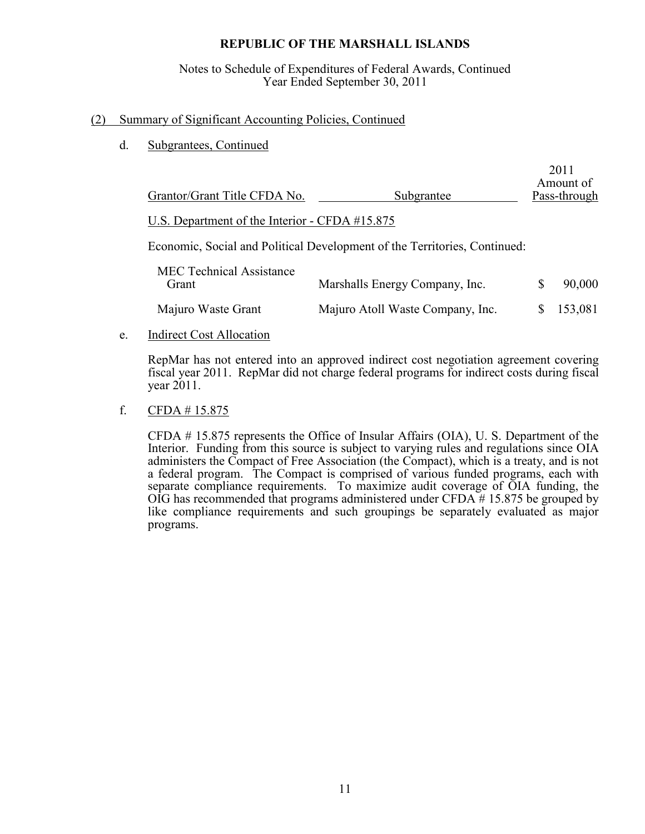## Notes to Schedule of Expenditures of Federal Awards, Continued Year Ended September 30, 2011

# (2) Summary of Significant Accounting Policies, Continued

d. Subgrantees, Continued

| Grantor/Grant Title CFDA No.                   | Subgrantee                                                                |   | 2011<br>Amount of<br>Pass-through |
|------------------------------------------------|---------------------------------------------------------------------------|---|-----------------------------------|
| U.S. Department of the Interior - CFDA #15.875 |                                                                           |   |                                   |
|                                                | Economic, Social and Political Development of the Territories, Continued: |   |                                   |
| <b>MEC Technical Assistance</b><br>Grant       | Marshalls Energy Company, Inc.                                            | S | 90,000                            |
| Majuro Waste Grant                             | Majuro Atoll Waste Company, Inc.                                          |   | 153,081                           |

#### e. Indirect Cost Allocation

RepMar has not entered into an approved indirect cost negotiation agreement covering fiscal year 2011. RepMar did not charge federal programs for indirect costs during fiscal year 2011.

## f. CFDA  $\#$  15.875

CFDA # 15.875 represents the Office of Insular Affairs (OIA), U. S. Department of the Interior. Funding from this source is subject to varying rules and regulations since OIA administers the Compact of Free Association (the Compact), which is a treaty, and is not a federal program. The Compact is comprised of various funded programs, each with separate compliance requirements. To maximize audit coverage of OIA funding, the OIG has recommended that programs administered under CFDA  $# 15.875$  be grouped by like compliance requirements and such groupings be separately evaluated as major programs.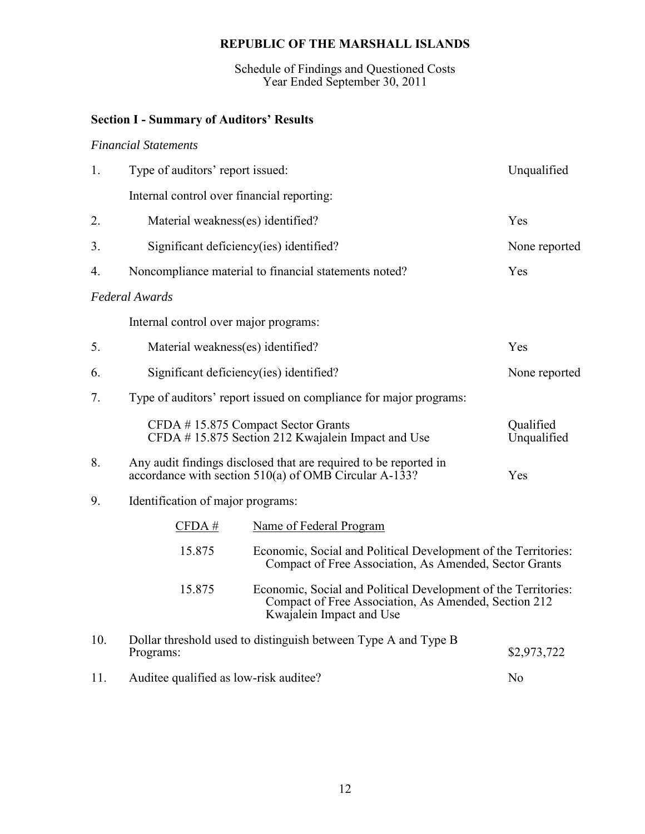Schedule of Findings and Questioned Costs Year Ended September 30, 2011

# **Section I - Summary of Auditors' Results**

#### *Financial Statements*

| 1.               | Type of auditors' report issued:                                  |                                                                                                                                                    | Unqualified              |
|------------------|-------------------------------------------------------------------|----------------------------------------------------------------------------------------------------------------------------------------------------|--------------------------|
|                  | Internal control over financial reporting:                        |                                                                                                                                                    |                          |
| 2.               | Material weakness(es) identified?                                 |                                                                                                                                                    | Yes                      |
| 3.               | Significant deficiency (ies) identified?                          |                                                                                                                                                    | None reported            |
| $\overline{4}$ . |                                                                   | Noncompliance material to financial statements noted?                                                                                              | Yes                      |
|                  | <b>Federal Awards</b>                                             |                                                                                                                                                    |                          |
|                  | Internal control over major programs:                             |                                                                                                                                                    |                          |
| 5.               | Material weakness(es) identified?                                 |                                                                                                                                                    | Yes                      |
| 6.               | Significant deficiency (ies) identified?                          |                                                                                                                                                    | None reported            |
| 7.               | Type of auditors' report issued on compliance for major programs: |                                                                                                                                                    |                          |
|                  |                                                                   | CFDA #15.875 Compact Sector Grants<br>CFDA #15.875 Section 212 Kwajalein Impact and Use                                                            | Qualified<br>Unqualified |
| 8.               |                                                                   | Any audit findings disclosed that are required to be reported in<br>accordance with section $510(a)$ of OMB Circular A-133?                        | Yes                      |
| 9.               | Identification of major programs:                                 |                                                                                                                                                    |                          |
|                  | CFDA#                                                             | Name of Federal Program                                                                                                                            |                          |
|                  | 15.875                                                            | Economic, Social and Political Development of the Territories:<br>Compact of Free Association, As Amended, Sector Grants                           |                          |
|                  | 15.875                                                            | Economic, Social and Political Development of the Territories:<br>Compact of Free Association, As Amended, Section 212<br>Kwajalein Impact and Use |                          |
| 10.              | Programs:                                                         | Dollar threshold used to distinguish between Type A and Type B                                                                                     | \$2,973,722              |
| 11.              | Auditee qualified as low-risk auditee?                            |                                                                                                                                                    | N <sub>0</sub>           |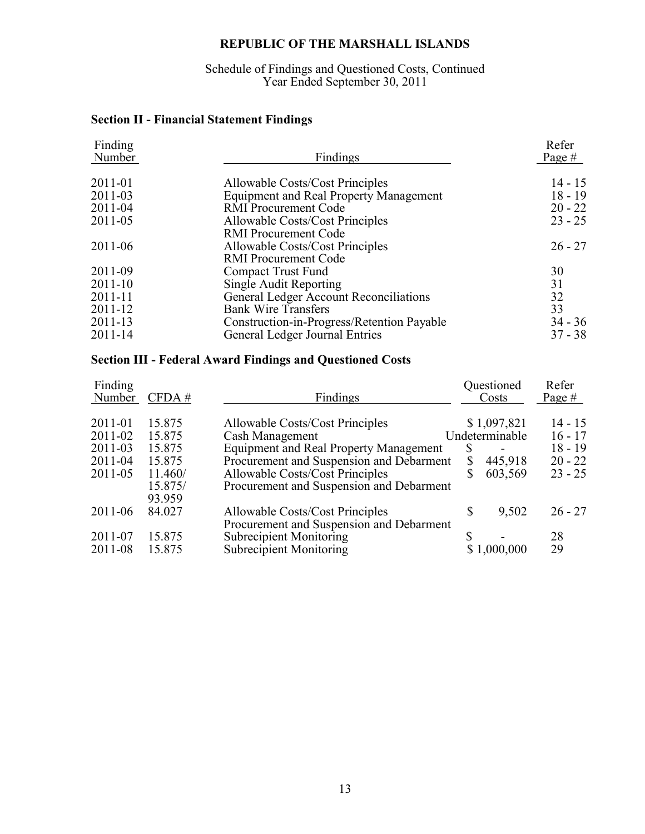#### Schedule of Findings and Questioned Costs, Continued Year Ended September 30, 2011

# **Section II - Financial Statement Findings**

| Finding<br>Number | Findings                                                       | Refer<br>Page $#$ |
|-------------------|----------------------------------------------------------------|-------------------|
| 2011-01           | Allowable Costs/Cost Principles                                | $14 - 15$         |
| 2011-03           | <b>Equipment and Real Property Management</b>                  | $18 - 19$         |
| 2011-04           | <b>RMI</b> Procurement Code                                    | $20 - 22$         |
| 2011-05           | Allowable Costs/Cost Principles<br><b>RMI</b> Procurement Code | $23 - 25$         |
| 2011-06           | Allowable Costs/Cost Principles<br><b>RMI</b> Procurement Code | $26 - 27$         |
| 2011-09           | <b>Compact Trust Fund</b>                                      | 30                |
| $2011 - 10$       | Single Audit Reporting                                         | 31                |
| 2011-11           | General Ledger Account Reconciliations                         | 32                |
| 2011-12           | <b>Bank Wire Transfers</b>                                     | 33                |
| 2011-13           | Construction-in-Progress/Retention Payable                     | $34 - 36$         |
| $2011 - 14$       | General Ledger Journal Entries                                 | $37 - 38$         |

# **Section III - Federal Award Findings and Questioned Costs**

| Finding<br>Number | CFDA#   | Findings                                      | Questioned<br>Costs | Refer<br>Page $#$ |
|-------------------|---------|-----------------------------------------------|---------------------|-------------------|
| 2011-01           | 15.875  | Allowable Costs/Cost Principles               | \$1,097,821         | $14 - 15$         |
| 2011-02           | 15.875  | Cash Management                               | Undeterminable      | $16 - 17$         |
| 2011-03           | 15.875  | <b>Equipment and Real Property Management</b> |                     | $18 - 19$         |
| 2011-04           | 15.875  | Procurement and Suspension and Debarment      | 445,918             | $20 - 22$         |
| 2011-05           | 11.460/ | <b>Allowable Costs/Cost Principles</b>        | 603,569             | $23 - 25$         |
|                   | 15.875/ | Procurement and Suspension and Debarment      |                     |                   |
|                   | 93.959  |                                               |                     |                   |
| 2011-06           | 84.027  | Allowable Costs/Cost Principles               | 9,502<br>S          | $26 - 27$         |
|                   |         | Procurement and Suspension and Debarment      |                     |                   |
| 2011-07           | 15.875  | <b>Subrecipient Monitoring</b>                |                     | 28                |
| 2011-08           | 15.875  | <b>Subrecipient Monitoring</b>                | \$1,000,000         | 29                |
|                   |         |                                               |                     |                   |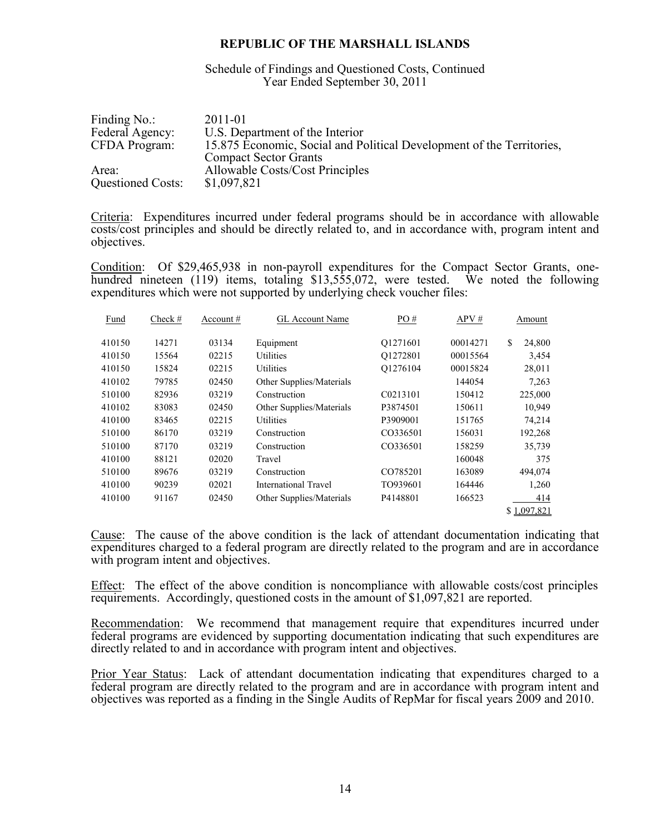#### Schedule of Findings and Questioned Costs, Continued Year Ended September 30, 2011

| Finding No.:             | 2011-01                                                               |
|--------------------------|-----------------------------------------------------------------------|
| Federal Agency:          | U.S. Department of the Interior                                       |
| CFDA Program:            | 15.875 Economic, Social and Political Development of the Territories, |
|                          | <b>Compact Sector Grants</b>                                          |
| Area:                    | Allowable Costs/Cost Principles                                       |
| <b>Questioned Costs:</b> | \$1,097,821                                                           |

Criteria: Expenditures incurred under federal programs should be in accordance with allowable costs/cost principles and should be directly related to, and in accordance with, program intent and objectives.

Condition: Of \$29,465,938 in non-payroll expenditures for the Compact Sector Grants, one-<br>hundred nineteen (119) items, totaling \$13,555,072, were tested. We noted the following hundred nineteen  $(119)$  items, totaling \$13,555,072, were tested. expenditures which were not supported by underlying check voucher files:

| Fund   | $Check \#$ | Account $#$ | GL Account Name          | PO#      | APV#     | Amount       |
|--------|------------|-------------|--------------------------|----------|----------|--------------|
| 410150 | 14271      | 03134       | Equipment                | O1271601 | 00014271 | \$<br>24,800 |
| 410150 | 15564      | 02215       | Utilities                | O1272801 | 00015564 | 3,454        |
| 410150 | 15824      | 02215       | Utilities                | O1276104 | 00015824 | 28,011       |
| 410102 | 79785      | 02450       | Other Supplies/Materials |          | 144054   | 7,263        |
| 510100 | 82936      | 03219       | Construction             | C0213101 | 150412   | 225,000      |
| 410102 | 83083      | 02450       | Other Supplies/Materials | P3874501 | 150611   | 10,949       |
| 410100 | 83465      | 02215       | Utilities                | P3909001 | 151765   | 74,214       |
| 510100 | 86170      | 03219       | Construction             | CO336501 | 156031   | 192,268      |
| 510100 | 87170      | 03219       | Construction             | CO336501 | 158259   | 35,739       |
| 410100 | 88121      | 02020       | Travel                   |          | 160048   | 375          |
| 510100 | 89676      | 03219       | Construction             | CO785201 | 163089   | 494,074      |
| 410100 | 90239      | 02021       | International Travel     | TO939601 | 164446   | 1,260        |
| 410100 | 91167      | 02450       | Other Supplies/Materials | P4148801 | 166523   | 414          |
|        |            |             |                          |          |          | \$1,097,821  |

Cause: The cause of the above condition is the lack of attendant documentation indicating that expenditures charged to a federal program are directly related to the program and are in accordance with program intent and objectives.

Effect: The effect of the above condition is noncompliance with allowable costs/cost principles requirements. Accordingly, questioned costs in the amount of \$1,097,821 are reported.

Recommendation: We recommend that management require that expenditures incurred under federal programs are evidenced by supporting documentation indicating that such expenditures are directly related to and in accordance with program intent and objectives.

Prior Year Status: Lack of attendant documentation indicating that expenditures charged to a federal program are directly related to the program and are in accordance with program intent and objectives was reported as a finding in the Single Audits of RepMar for fiscal years 2009 and 2010.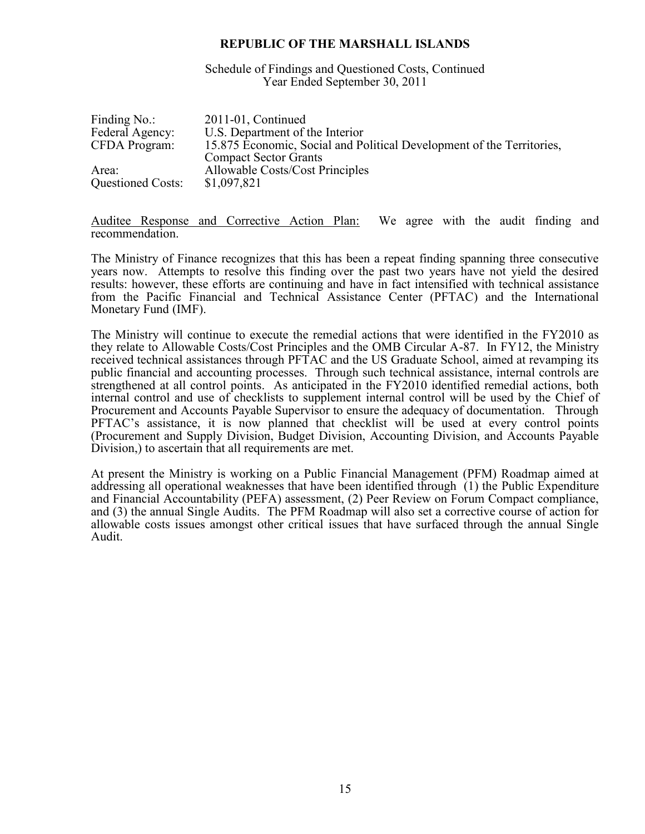Schedule of Findings and Questioned Costs, Continued Year Ended September 30, 2011

| Finding No.:             | $2011-01$ , Continued                                                 |
|--------------------------|-----------------------------------------------------------------------|
| Federal Agency:          | U.S. Department of the Interior                                       |
| CFDA Program:            | 15.875 Economic, Social and Political Development of the Territories, |
|                          | <b>Compact Sector Grants</b>                                          |
| Area:                    | Allowable Costs/Cost Principles                                       |
| <b>Questioned Costs:</b> | \$1,097,821                                                           |

Auditee Response and Corrective Action Plan: We agree with the audit finding and recommendation.

The Ministry of Finance recognizes that this has been a repeat finding spanning three consecutive years now. Attempts to resolve this finding over the past two years have not yield the desired results: however, these efforts are continuing and have in fact intensified with technical assistance from the Pacific Financial and Technical Assistance Center (PFTAC) and the International Monetary Fund (IMF).

The Ministry will continue to execute the remedial actions that were identified in the FY2010 as they relate to Allowable Costs/Cost Principles and the OMB Circular A-87. In FY12, the Ministry received technical assistances through PFTAC and the US Graduate School, aimed at revamping its public financial and accounting processes. Through such technical assistance, internal controls are strengthened at all control points. As anticipated in the FY2010 identified remedial actions, both internal control and use of checklists to supplement internal control will be used by the Chief of Procurement and Accounts Payable Supervisor to ensure the adequacy of documentation. Through PFTAC's assistance, it is now planned that checklist will be used at every control points (Procurement and Supply Division, Budget Division, Accounting Division, and Accounts Payable Division,) to ascertain that all requirements are met.

At present the Ministry is working on a Public Financial Management (PFM) Roadmap aimed at addressing all operational weaknesses that have been identified through (1) the Public Expenditure and Financial Accountability (PEFA) assessment, (2) Peer Review on Forum Compact compliance, and (3) the annual Single Audits. The PFM Roadmap will also set a corrective course of action for allowable costs issues amongst other critical issues that have surfaced through the annual Single Audit.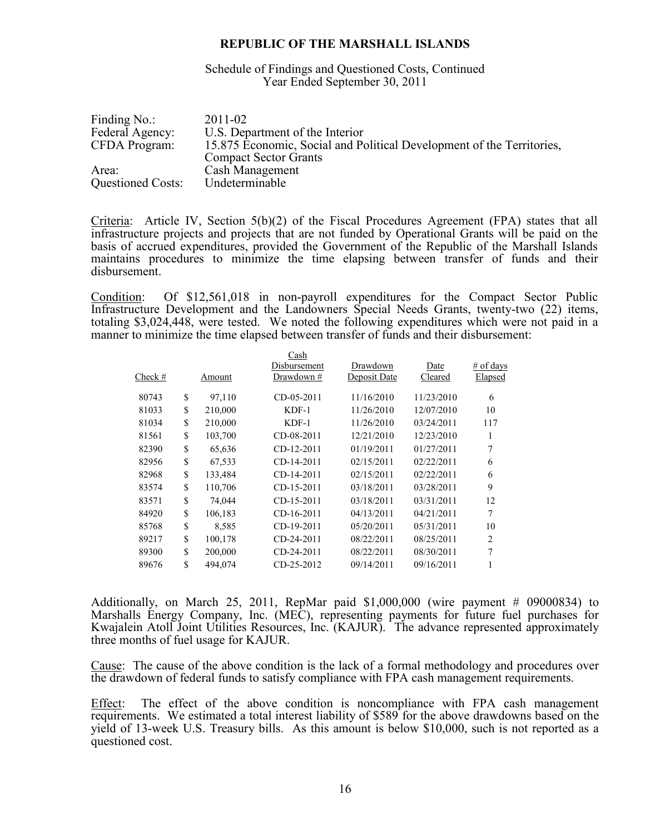Schedule of Findings and Questioned Costs, Continued Year Ended September 30, 2011

| Finding No.:             | $2011 - 02$                                                           |
|--------------------------|-----------------------------------------------------------------------|
| Federal Agency:          | U.S. Department of the Interior                                       |
| CFDA Program:            | 15.875 Economic, Social and Political Development of the Territories, |
|                          | <b>Compact Sector Grants</b>                                          |
| Area:                    | Cash Management                                                       |
| <b>Questioned Costs:</b> | Undeterminable                                                        |

Criteria: Article IV, Section 5(b)(2) of the Fiscal Procedures Agreement (FPA) states that all infrastructure projects and projects that are not funded by Operational Grants will be paid on the basis of accrued expenditures, provided the Government of the Republic of the Marshall Islands maintains procedures to minimize the time elapsing between transfer of funds and their disbursement.

Condition: Of \$12,561,018 in non-payroll expenditures for the Compact Sector Public Infrastructure Development and the Landowners Special Needs Grants, twenty-two (22) items, totaling \$3,024,448, were tested. We noted the following expenditures which were not paid in a manner to minimize the time elapsed between transfer of funds and their disbursement:

| $Check \#$ | Amount        | Cash<br>Disbursement<br>Drawdown # | Drawdown<br>Deposit Date | Date<br>Cleared | $#$ of days<br>Elapsed |
|------------|---------------|------------------------------------|--------------------------|-----------------|------------------------|
| 80743      | \$<br>97,110  | $CD-0.5-2011$                      | 11/16/2010               | 11/23/2010      | 6                      |
| 81033      | \$<br>210,000 | $KDF-1$                            | 11/26/2010               | 12/07/2010      | 10                     |
| 81034      | \$<br>210,000 | $KDF-1$                            | 11/26/2010               | 03/24/2011      | 117                    |
| 81561      | \$<br>103,700 | CD-08-2011                         | 12/21/2010               | 12/23/2010      | 1                      |
| 82390      | \$<br>65,636  | $CD-12-2011$                       | 01/19/2011               | 01/27/2011      | 7                      |
| 82956      | \$<br>67,533  | $CD-14-2011$                       | 02/15/2011               | 02/22/2011      | 6                      |
| 82968      | \$<br>133,484 | $CD-14-2011$                       | 02/15/2011               | 02/22/2011      | 6                      |
| 83574      | \$<br>110,706 | $CD-15-2011$                       | 03/18/2011               | 03/28/2011      | 9                      |
| 83571      | \$<br>74,044  | $CD-15-2011$                       | 03/18/2011               | 03/31/2011      | 12                     |
| 84920      | \$<br>106,183 | $CD-16-2011$                       | 04/13/2011               | 04/21/2011      | 7                      |
| 85768      | \$<br>8,585   | CD-19-2011                         | 05/20/2011               | 05/31/2011      | 10                     |
| 89217      | \$<br>100,178 | $CD-24-2011$                       | 08/22/2011               | 08/25/2011      | $\overline{2}$         |
| 89300      | \$<br>200,000 | CD-24-2011                         | 08/22/2011               | 08/30/2011      | 7                      |
| 89676      | \$<br>494.074 | CD-25-2012                         | 09/14/2011               | 09/16/2011      | 1                      |
|            |               |                                    |                          |                 |                        |

Additionally, on March 25, 2011, RepMar paid \$1,000,000 (wire payment # 09000834) to Marshalls Energy Company, Inc. (MEC), representing payments for future fuel purchases for Kwajalein Atoll Joint Utilities Resources, Inc. (KAJUR). The advance represented approximately three months of fuel usage for KAJUR.

Cause: The cause of the above condition is the lack of a formal methodology and procedures over the drawdown of federal funds to satisfy compliance with FPA cash management requirements.

Effect: The effect of the above condition is noncompliance with FPA cash management requirements. We estimated a total interest liability of \$589 for the above drawdowns based on the yield of 13-week U.S. Treasury bills. As this amount is below \$10,000, such is not reported as a questioned cost.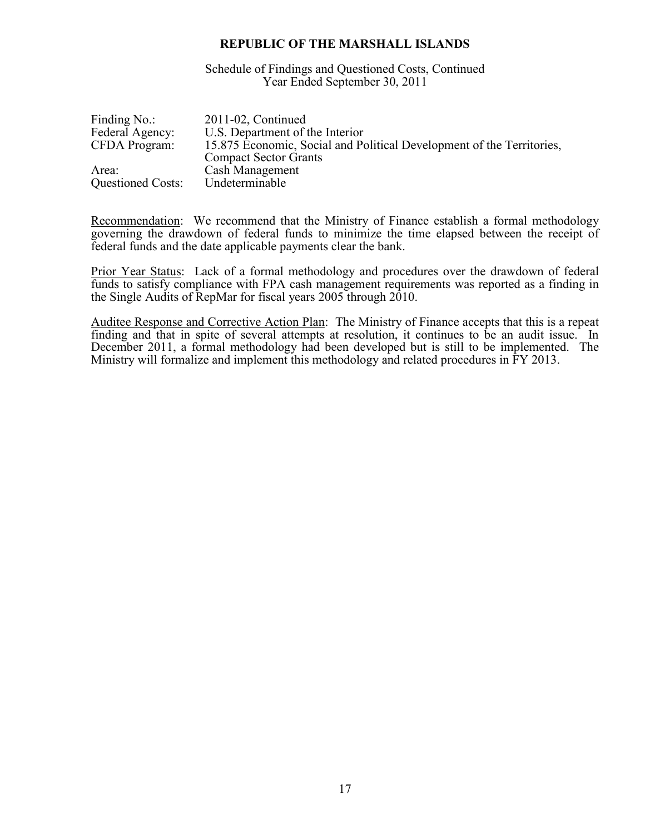Schedule of Findings and Questioned Costs, Continued Year Ended September 30, 2011

| Finding No.:             | $2011-02$ , Continued                                                 |
|--------------------------|-----------------------------------------------------------------------|
| Federal Agency:          | U.S. Department of the Interior                                       |
| CFDA Program:            | 15.875 Economic, Social and Political Development of the Territories, |
|                          | <b>Compact Sector Grants</b>                                          |
| Area:                    | Cash Management                                                       |
| <b>Questioned Costs:</b> | Undeterminable                                                        |

Recommendation: We recommend that the Ministry of Finance establish a formal methodology governing the drawdown of federal funds to minimize the time elapsed between the receipt of federal funds and the date applicable payments clear the bank.

Prior Year Status: Lack of a formal methodology and procedures over the drawdown of federal funds to satisfy compliance with FPA cash management requirements was reported as a finding in the Single Audits of RepMar for fiscal years 2005 through 2010.

Auditee Response and Corrective Action Plan: The Ministry of Finance accepts that this is a repeat finding and that in spite of several attempts at resolution, it continues to be an audit issue. In December 2011, a formal methodology had been developed but is still to be implemented. The Ministry will formalize and implement this methodology and related procedures in FY 2013.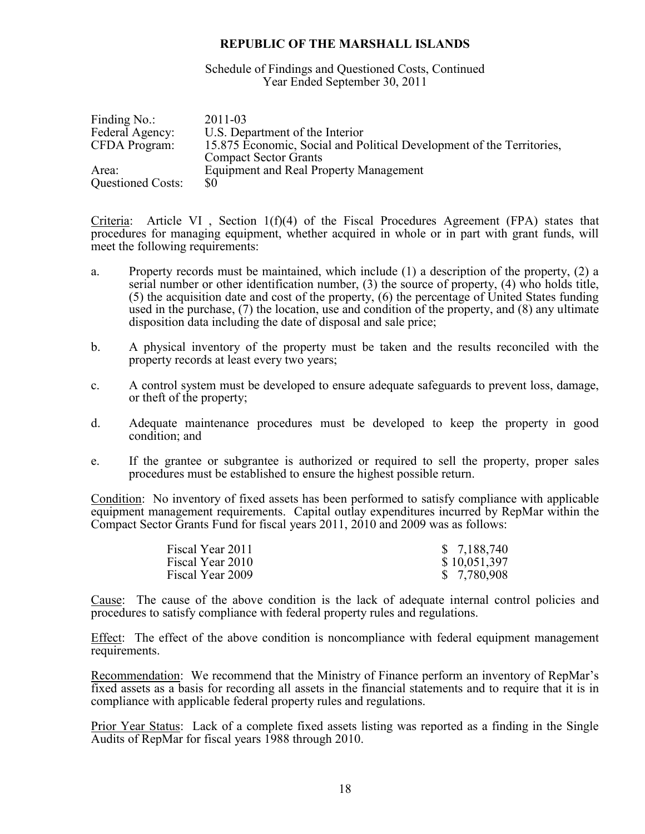Schedule of Findings and Questioned Costs, Continued Year Ended September 30, 2011

| Finding No.:             | $2011 - 03$                                                           |
|--------------------------|-----------------------------------------------------------------------|
| Federal Agency:          | U.S. Department of the Interior                                       |
| CFDA Program:            | 15.875 Economic, Social and Political Development of the Territories, |
|                          | <b>Compact Sector Grants</b>                                          |
| Area:                    | <b>Equipment and Real Property Management</b>                         |
| <b>Questioned Costs:</b> | \$0                                                                   |

Criteria: Article VI , Section 1(f)(4) of the Fiscal Procedures Agreement (FPA) states that procedures for managing equipment, whether acquired in whole or in part with grant funds, will meet the following requirements:

- a. Property records must be maintained, which include (1) a description of the property, (2) a serial number or other identification number, (3) the source of property, (4) who holds title, (5) the acquisition date and cost of the property, (6) the percentage of United States funding used in the purchase, (7) the location, use and condition of the property, and (8) any ultimate disposition data including the date of disposal and sale price;
- b. A physical inventory of the property must be taken and the results reconciled with the property records at least every two years;
- c. A control system must be developed to ensure adequate safeguards to prevent loss, damage, or theft of the property;
- d. Adequate maintenance procedures must be developed to keep the property in good condition; and
- e. If the grantee or subgrantee is authorized or required to sell the property, proper sales procedures must be established to ensure the highest possible return.

Condition: No inventory of fixed assets has been performed to satisfy compliance with applicable equipment management requirements. Capital outlay expenditures incurred by RepMar within the Compact Sector Grants Fund for fiscal years 2011, 2010 and 2009 was as follows:

| Fiscal Year 2011 | \$7,188,740  |
|------------------|--------------|
| Fiscal Year 2010 | \$10,051,397 |
| Fiscal Year 2009 | \$ 7,780,908 |

Cause: The cause of the above condition is the lack of adequate internal control policies and procedures to satisfy compliance with federal property rules and regulations.

Effect: The effect of the above condition is noncompliance with federal equipment management requirements.

Recommendation: We recommend that the Ministry of Finance perform an inventory of RepMar's fixed assets as a basis for recording all assets in the financial statements and to require that it is in compliance with applicable federal property rules and regulations.

Prior Year Status: Lack of a complete fixed assets listing was reported as a finding in the Single Audits of RepMar for fiscal years 1988 through 2010.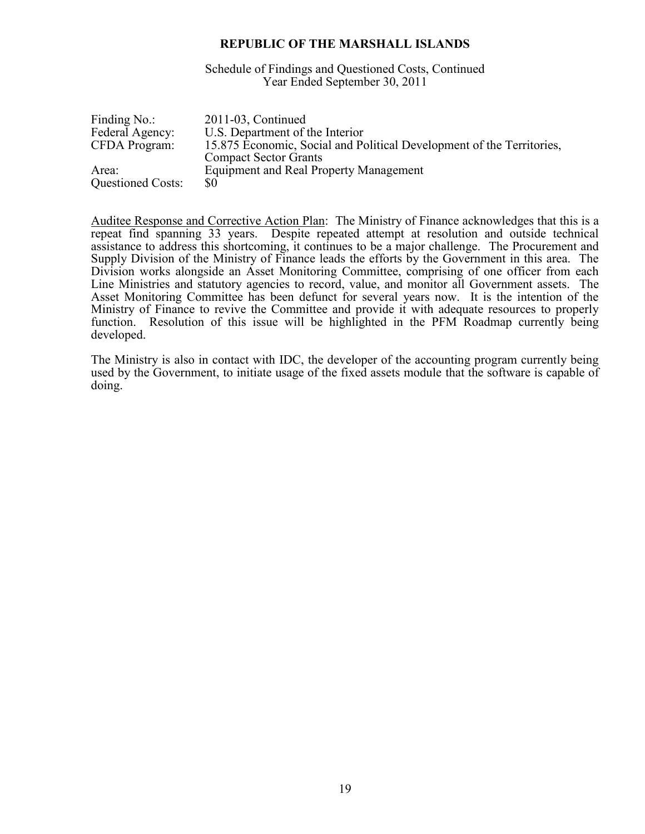Schedule of Findings and Questioned Costs, Continued Year Ended September 30, 2011

| Finding No.:             | $2011-03$ , Continued                                                 |
|--------------------------|-----------------------------------------------------------------------|
| Federal Agency:          | U.S. Department of the Interior                                       |
| CFDA Program:            | 15.875 Economic, Social and Political Development of the Territories, |
|                          | <b>Compact Sector Grants</b>                                          |
| Area:                    | Equipment and Real Property Management                                |
| <b>Questioned Costs:</b> | \$0                                                                   |

Auditee Response and Corrective Action Plan: The Ministry of Finance acknowledges that this is a repeat find spanning 33 years. Despite repeated attempt at resolution and outside technical assistance to address this shortcoming, it continues to be a major challenge. The Procurement and Supply Division of the Ministry of Finance leads the efforts by the Government in this area. The Division works alongside an Asset Monitoring Committee, comprising of one officer from each Line Ministries and statutory agencies to record, value, and monitor all Government assets. The Asset Monitoring Committee has been defunct for several years now. It is the intention of the Ministry of Finance to revive the Committee and provide it with adequate resources to properly function. Resolution of this issue will be highlighted in the PFM Roadmap currently being developed.

The Ministry is also in contact with IDC, the developer of the accounting program currently being used by the Government, to initiate usage of the fixed assets module that the software is capable of doing.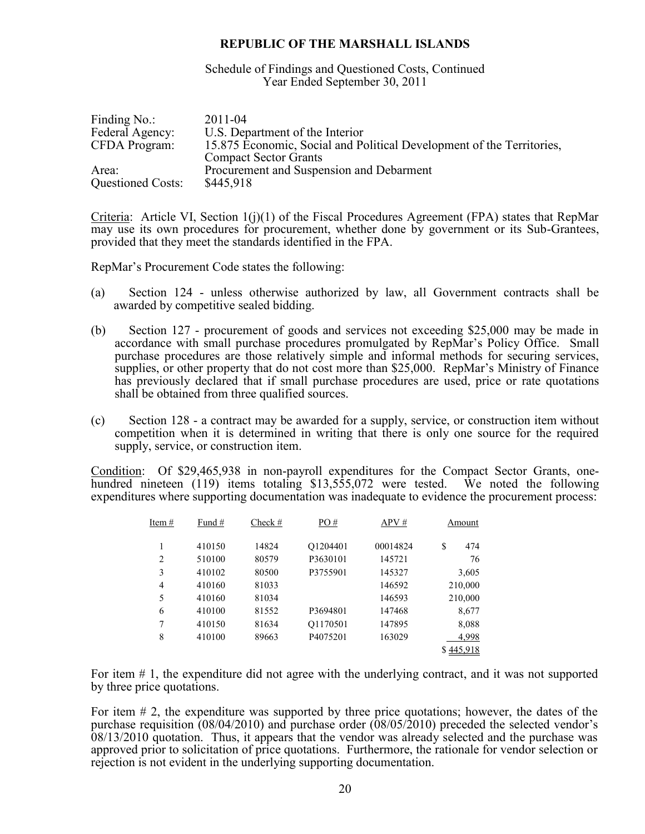Schedule of Findings and Questioned Costs, Continued Year Ended September 30, 2011

| Finding No.:             | $2011 - 04$                                                           |
|--------------------------|-----------------------------------------------------------------------|
| Federal Agency:          | U.S. Department of the Interior                                       |
| CFDA Program:            | 15.875 Economic, Social and Political Development of the Territories, |
|                          | <b>Compact Sector Grants</b>                                          |
| Area:                    | Procurement and Suspension and Debarment                              |
| <b>Questioned Costs:</b> | \$445,918                                                             |

Criteria: Article VI, Section 1(j)(1) of the Fiscal Procedures Agreement (FPA) states that RepMar may use its own procedures for procurement, whether done by government or its Sub-Grantees, provided that they meet the standards identified in the FPA.

RepMar's Procurement Code states the following:

- (a) Section 124 unless otherwise authorized by law, all Government contracts shall be awarded by competitive sealed bidding.
- (b) Section 127 procurement of goods and services not exceeding \$25,000 may be made in accordance with small purchase procedures promulgated by RepMar's Policy Office. Small purchase procedures are those relatively simple and informal methods for securing services, supplies, or other property that do not cost more than \$25,000. RepMar's Ministry of Finance has previously declared that if small purchase procedures are used, price or rate quotations shall be obtained from three qualified sources.
- (c) Section 128 a contract may be awarded for a supply, service, or construction item without competition when it is determined in writing that there is only one source for the required supply, service, or construction item.

Condition: Of \$29,465,938 in non-payroll expenditures for the Compact Sector Grants, onehundred nineteen (119) items totaling \$13,555,072 were tested. We noted the following expenditures where supporting documentation was inadequate to evidence the procurement process:

| Item $#$       | Fund # | $Check \#$ | PO#      | APV#     | Amount    |
|----------------|--------|------------|----------|----------|-----------|
| 1              | 410150 | 14824      | O1204401 | 00014824 | S<br>474  |
| 2              | 510100 | 80579      | P3630101 | 145721   | 76        |
| 3              | 410102 | 80500      | P3755901 | 145327   | 3,605     |
| $\overline{4}$ | 410160 | 81033      |          | 146592   | 210,000   |
| 5              | 410160 | 81034      |          | 146593   | 210,000   |
| 6              | 410100 | 81552      | P3694801 | 147468   | 8,677     |
| 7              | 410150 | 81634      | O1170501 | 147895   | 8,088     |
| 8              | 410100 | 89663      | P4075201 | 163029   | 4,998     |
|                |        |            |          |          | \$445,918 |

For item # 1, the expenditure did not agree with the underlying contract, and it was not supported by three price quotations.

For item # 2, the expenditure was supported by three price quotations; however, the dates of the purchase requisition (08/04/2010) and purchase order (08/05/2010) preceded the selected vendor's 08/13/2010 quotation. Thus, it appears that the vendor was already selected and the purchase was approved prior to solicitation of price quotations. Furthermore, the rationale for vendor selection or rejection is not evident in the underlying supporting documentation.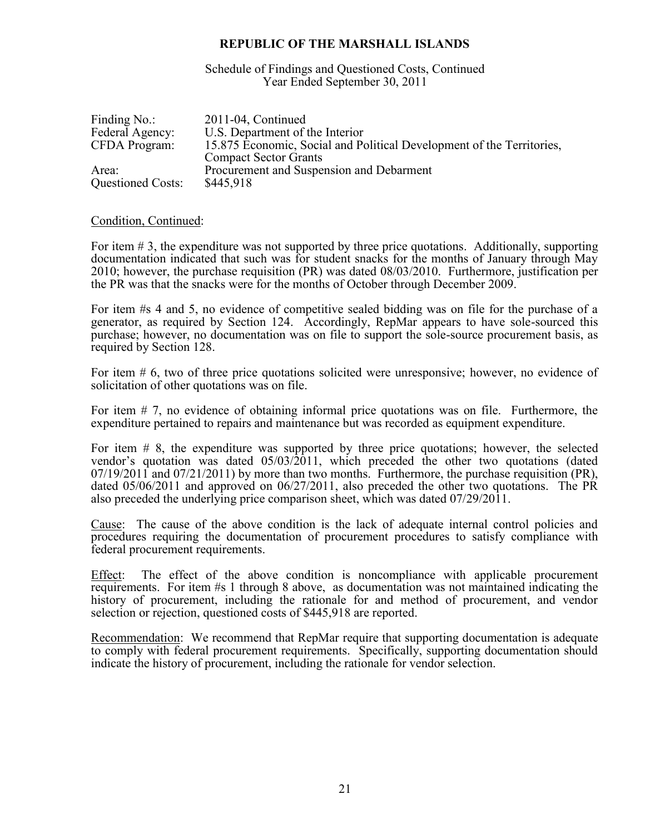Schedule of Findings and Questioned Costs, Continued Year Ended September 30, 2011

| Finding No.:             | $2011-04$ , Continued                                                 |
|--------------------------|-----------------------------------------------------------------------|
| Federal Agency:          | U.S. Department of the Interior                                       |
| CFDA Program:            | 15.875 Economic, Social and Political Development of the Territories, |
|                          | <b>Compact Sector Grants</b>                                          |
| Area:                    | Procurement and Suspension and Debarment                              |
| <b>Questioned Costs:</b> | \$445,918                                                             |

#### Condition, Continued:

For item # 3, the expenditure was not supported by three price quotations. Additionally, supporting documentation indicated that such was for student snacks for the months of January through May 2010; however, the purchase requisition (PR) was dated 08/03/2010. Furthermore, justification per the PR was that the snacks were for the months of October through December 2009.

For item #s 4 and 5, no evidence of competitive sealed bidding was on file for the purchase of a generator, as required by Section 124. Accordingly, RepMar appears to have sole-sourced this purchase; however, no documentation was on file to support the sole-source procurement basis, as required by Section 128.

For item # 6, two of three price quotations solicited were unresponsive; however, no evidence of solicitation of other quotations was on file.

For item  $\# 7$ , no evidence of obtaining informal price quotations was on file. Furthermore, the expenditure pertained to repairs and maintenance but was recorded as equipment expenditure.

For item # 8, the expenditure was supported by three price quotations; however, the selected vendor's quotation was dated 05/03/2011, which preceded the other two quotations (dated 07/19/2011 and 07/21/2011) by more than two months. Furthermore, the purchase requisition (PR), dated 05/06/2011 and approved on 06/27/2011, also preceded the other two quotations. The PR also preceded the underlying price comparison sheet, which was dated 07/29/2011.

Cause: The cause of the above condition is the lack of adequate internal control policies and procedures requiring the documentation of procurement procedures to satisfy compliance with federal procurement requirements.

Effect: The effect of the above condition is noncompliance with applicable procurement requirements. For item #s 1 through 8 above, as documentation was not maintained indicating the history of procurement, including the rationale for and method of procurement, and vendor selection or rejection, questioned costs of \$445,918 are reported.

Recommendation: We recommend that RepMar require that supporting documentation is adequate to comply with federal procurement requirements. Specifically, supporting documentation should indicate the history of procurement, including the rationale for vendor selection.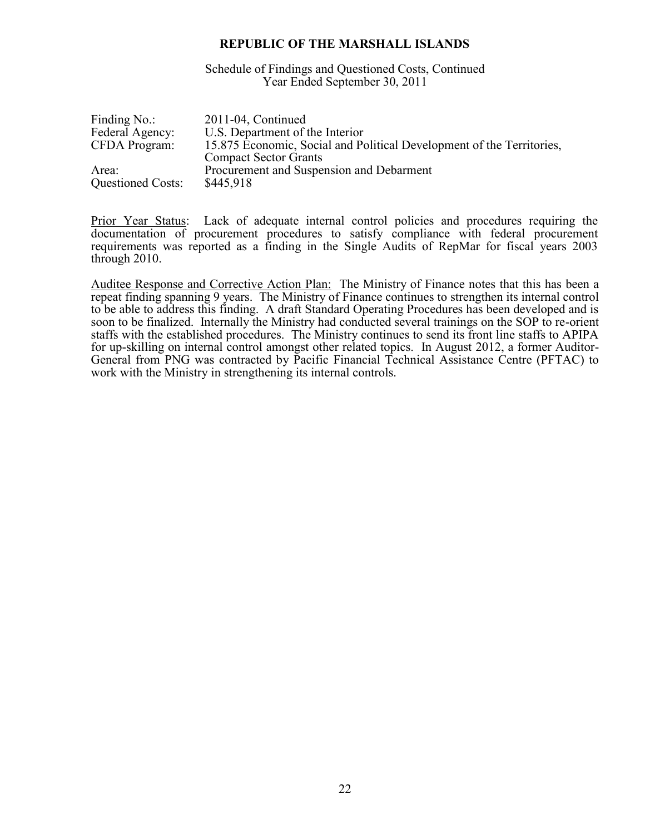Schedule of Findings and Questioned Costs, Continued Year Ended September 30, 2011

| Finding No.:             | $2011-04$ , Continued                                                 |
|--------------------------|-----------------------------------------------------------------------|
| Federal Agency:          | U.S. Department of the Interior                                       |
| CFDA Program:            | 15.875 Economic, Social and Political Development of the Territories, |
|                          | <b>Compact Sector Grants</b>                                          |
| Area:                    | Procurement and Suspension and Debarment                              |
| <b>Questioned Costs:</b> | \$445,918                                                             |

Prior Year Status: Lack of adequate internal control policies and procedures requiring the documentation of procurement procedures to satisfy compliance with federal procurement requirements was reported as a finding in the Single Audits of RepMar for fiscal years 2003 through 2010.

Auditee Response and Corrective Action Plan: The Ministry of Finance notes that this has been a repeat finding spanning 9 years. The Ministry of Finance continues to strengthen its internal control to be able to address this finding. A draft Standard Operating Procedures has been developed and is soon to be finalized. Internally the Ministry had conducted several trainings on the SOP to re-orient staffs with the established procedures. The Ministry continues to send its front line staffs to APIPA for up-skilling on internal control amongst other related topics. In August 2012, a former Auditor-General from PNG was contracted by Pacific Financial Technical Assistance Centre (PFTAC) to work with the Ministry in strengthening its internal controls.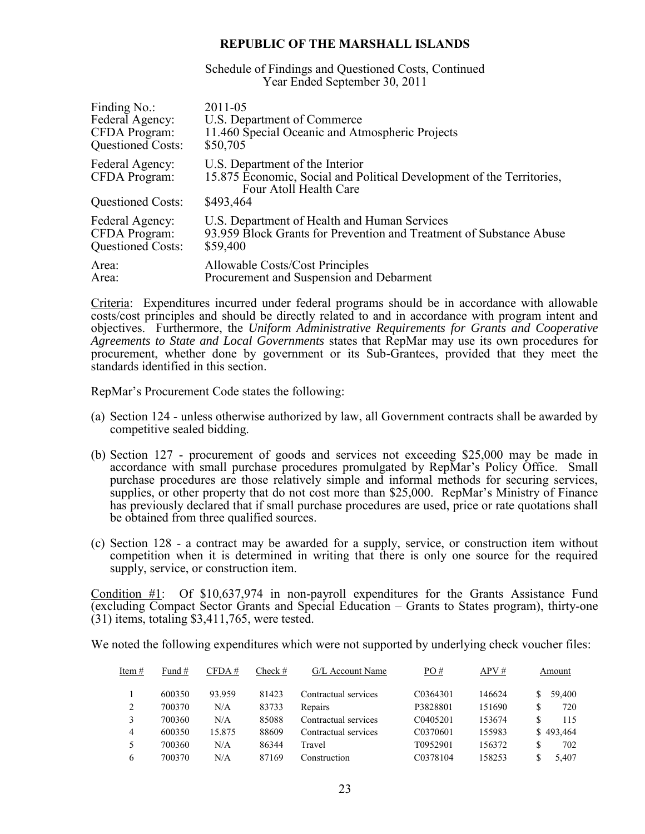Schedule of Findings and Questioned Costs, Continued Year Ended September 30, 2011

| Finding No.:                     | 2011-05                                                                                                                            |
|----------------------------------|------------------------------------------------------------------------------------------------------------------------------------|
| Federal Agency:                  | U.S. Department of Commerce                                                                                                        |
| CFDA Program:                    | 11.460 Special Oceanic and Atmospheric Projects                                                                                    |
| <b>Questioned Costs:</b>         | \$50,705                                                                                                                           |
| Federal Agency:<br>CFDA Program: | U.S. Department of the Interior<br>15.875 Economic, Social and Political Development of the Territories,<br>Four Atoll Health Care |
| <b>Questioned Costs:</b>         | \$493,464                                                                                                                          |
| Federal Agency:                  | U.S. Department of Health and Human Services                                                                                       |
| CFDA Program:                    | 93.959 Block Grants for Prevention and Treatment of Substance Abuse                                                                |
| <b>Questioned Costs:</b>         | \$59,400                                                                                                                           |
| Area:                            | Allowable Costs/Cost Principles                                                                                                    |
| Area:                            | Procurement and Suspension and Debarment                                                                                           |

Criteria: Expenditures incurred under federal programs should be in accordance with allowable costs/cost principles and should be directly related to and in accordance with program intent and objectives. Furthermore, the *Uniform Administrative Requirements for Grants and Cooperative Agreements to State and Local Governments* states that RepMar may use its own procedures for procurement, whether done by government or its Sub-Grantees, provided that they meet the standards identified in this section.

RepMar's Procurement Code states the following:

- (a) Section 124 unless otherwise authorized by law, all Government contracts shall be awarded by competitive sealed bidding.
- (b) Section 127 procurement of goods and services not exceeding \$25,000 may be made in accordance with small purchase procedures promulgated by RepMar's Policy Office. Small purchase procedures are those relatively simple and informal methods for securing services, supplies, or other property that do not cost more than \$25,000. RepMar's Ministry of Finance has previously declared that if small purchase procedures are used, price or rate quotations shall be obtained from three qualified sources.
- (c) Section 128 a contract may be awarded for a supply, service, or construction item without competition when it is determined in writing that there is only one source for the required supply, service, or construction item.

Condition #1: Of \$10,637,974 in non-payroll expenditures for the Grants Assistance Fund (excluding Compact Sector Grants and Special Education – Grants to States program), thirty-one (31) items, totaling \$3,411,765, were tested.

We noted the following expenditures which were not supported by underlying check voucher files:

| Item #         | Fund $#$ | CFDA#  | Check $#$ | G/L Account Name     | PO#      | APV#   | Amount    |
|----------------|----------|--------|-----------|----------------------|----------|--------|-----------|
|                | 600350   | 93.959 | 81423     | Contractual services | C0364301 | 146624 | 59,400    |
| 2              | 700370   | N/A    | 83733     | Repairs              | P3828801 | 151690 | 720       |
| 3              | 700360   | N/A    | 85088     | Contractual services | C0405201 | 153674 | 115       |
| $\overline{4}$ | 600350   | 15.875 | 88609     | Contractual services | C0370601 | 155983 | \$493,464 |
| 5              | 700360   | N/A    | 86344     | Travel               | T0952901 | 156372 | 702       |
| 6              | 700370   | N/A    | 87169     | Construction         | C0378104 | 158253 | 5.407     |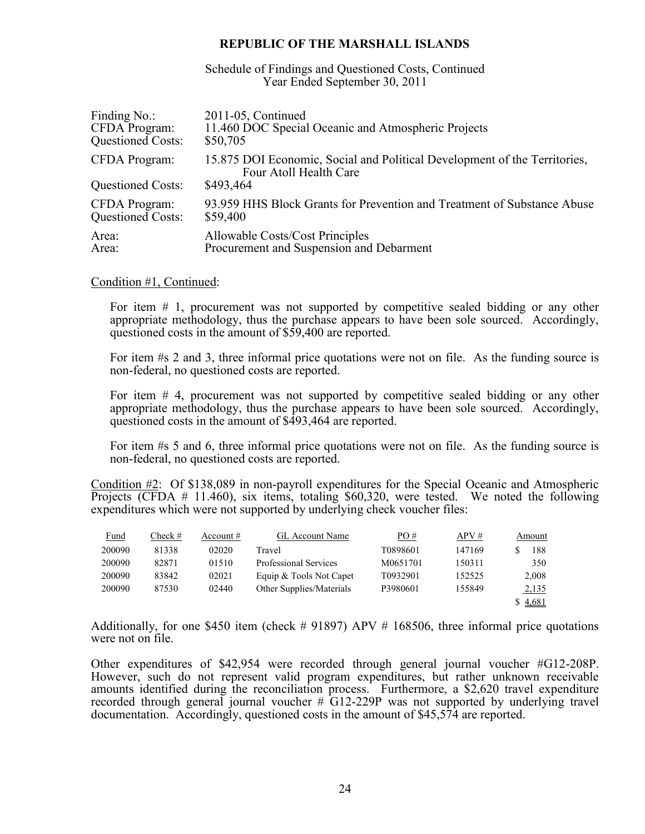Schedule of Findings and Questioned Costs, Continued Year Ended September 30, 2011

| Finding No.:             | 2011-05, Continued                                                                                  |
|--------------------------|-----------------------------------------------------------------------------------------------------|
| CFDA Program:            | 11.460 DOC Special Oceanic and Atmospheric Projects                                                 |
| <b>Questioned Costs:</b> | \$50,705                                                                                            |
| CFDA Program:            | 15.875 DOI Economic, Social and Political Development of the Territories,<br>Four Atoll Health Care |
| <b>Questioned Costs:</b> | \$493,464                                                                                           |
| CFDA Program:            | 93.959 HHS Block Grants for Prevention and Treatment of Substance Abuse                             |
| Questioned Costs:        | \$59,400                                                                                            |
| Area:                    | Allowable Costs/Cost Principles                                                                     |
| Area:                    | Procurement and Suspension and Debarment                                                            |

#### Condition #1, Continued:

For item  $# 1$ , procurement was not supported by competitive sealed bidding or any other appropriate methodology, thus the purchase appears to have been sole sourced. Accordingly, questioned costs in the amount of \$59,400 are reported.

For item #s 2 and 3, three informal price quotations were not on file. As the funding source is non-federal, no questioned costs are reported.

For item  $# 4$ , procurement was not supported by competitive sealed bidding or any other appropriate methodology, thus the purchase appears to have been sole sourced. Accordingly, questioned costs in the amount of \$493,464 are reported.

For item #s 5 and 6, three informal price quotations were not on file. As the funding source is non-federal, no questioned costs are reported.

Condition #2: Of \$138,089 in non-payroll expenditures for the Special Oceanic and Atmospheric Projects (CFDA # 11.460), six items, totaling \$60,320, were tested. We noted the following expenditures which were not supported by underlying check voucher files:

| <b>Fund</b> | Check # | Account $#$ | <b>GL</b> Account Name       | PO#      | APV #  | Amount  |
|-------------|---------|-------------|------------------------------|----------|--------|---------|
| 200090      | 81338   | 02020       | Travel                       | T0898601 | 147169 | 188     |
| 200090      | 82871   | 01510       | <b>Professional Services</b> | M0651701 | 150311 | 350     |
| 200090      | 83842   | 02021       | Equip & Tools Not Capet      | T0932901 | 152525 | 2,008   |
| 200090      | 87530   | 02440       | Other Supplies/Materials     | P3980601 | 155849 | 2,135   |
|             |         |             |                              |          |        | \$4,681 |

Additionally, for one \$450 item (check # 91897) APV # 168506, three informal price quotations were not on file.

Other expenditures of \$42,954 were recorded through general journal voucher #G12-208P. However, such do not represent valid program expenditures, but rather unknown receivable amounts identified during the reconciliation process. Furthermore, a \$2,620 travel expenditure recorded through general journal voucher # G12-229P was not supported by underlying travel documentation. Accordingly, questioned costs in the amount of \$45,574 are reported.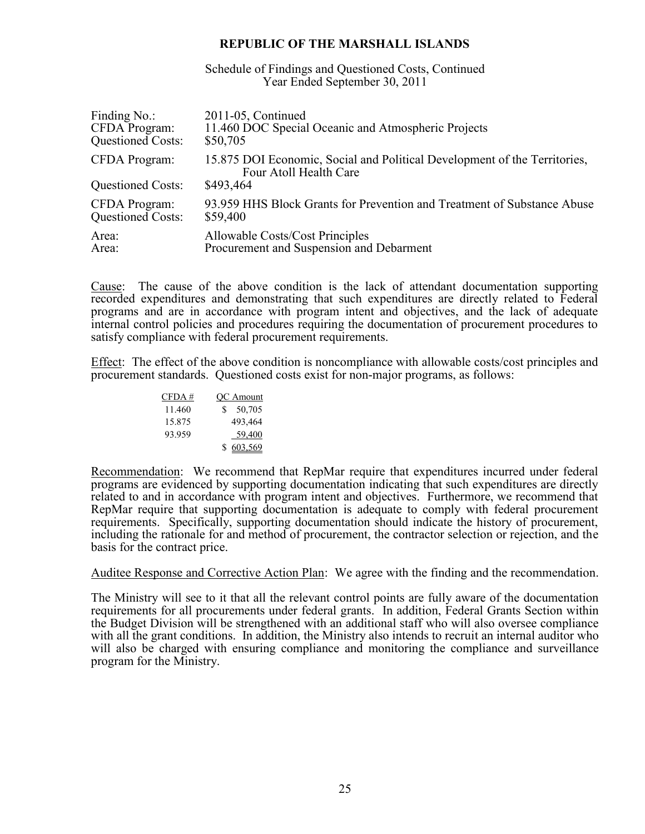Schedule of Findings and Questioned Costs, Continued Year Ended September 30, 2011

| Finding No.:             | 2011-05, Continued                                                                                  |
|--------------------------|-----------------------------------------------------------------------------------------------------|
| CFDA Program:            | 11.460 DOC Special Oceanic and Atmospheric Projects                                                 |
| <b>Questioned Costs:</b> | \$50,705                                                                                            |
| CFDA Program:            | 15.875 DOI Economic, Social and Political Development of the Territories,<br>Four Atoll Health Care |
| <b>Questioned Costs:</b> | \$493,464                                                                                           |
| CFDA Program:            | 93.959 HHS Block Grants for Prevention and Treatment of Substance Abuse                             |
| Questioned Costs:        | \$59,400                                                                                            |
| Area:                    | Allowable Costs/Cost Principles                                                                     |
| Area:                    | Procurement and Suspension and Debarment                                                            |

Cause: The cause of the above condition is the lack of attendant documentation supporting recorded expenditures and demonstrating that such expenditures are directly related to Federal programs and are in accordance with program intent and objectives, and the lack of adequate internal control policies and procedures requiring the documentation of procurement procedures to satisfy compliance with federal procurement requirements.

Effect: The effect of the above condition is noncompliance with allowable costs/cost principles and procurement standards. Questioned costs exist for non-major programs, as follows:

| CFDA#  | <b>OC</b> Amount |
|--------|------------------|
| 11.460 | 50,705<br>S.     |
| 15.875 | 493,464          |
| 93.959 | 59.400           |
|        | \$603,569        |

Recommendation: We recommend that RepMar require that expenditures incurred under federal programs are evidenced by supporting documentation indicating that such expenditures are directly related to and in accordance with program intent and objectives. Furthermore, we recommend that RepMar require that supporting documentation is adequate to comply with federal procurement requirements. Specifically, supporting documentation should indicate the history of procurement, including the rationale for and method of procurement, the contractor selection or rejection, and the basis for the contract price.

Auditee Response and Corrective Action Plan: We agree with the finding and the recommendation.

The Ministry will see to it that all the relevant control points are fully aware of the documentation requirements for all procurements under federal grants. In addition, Federal Grants Section within the Budget Division will be strengthened with an additional staff who will also oversee compliance with all the grant conditions. In addition, the Ministry also intends to recruit an internal auditor who will also be charged with ensuring compliance and monitoring the compliance and surveillance program for the Ministry.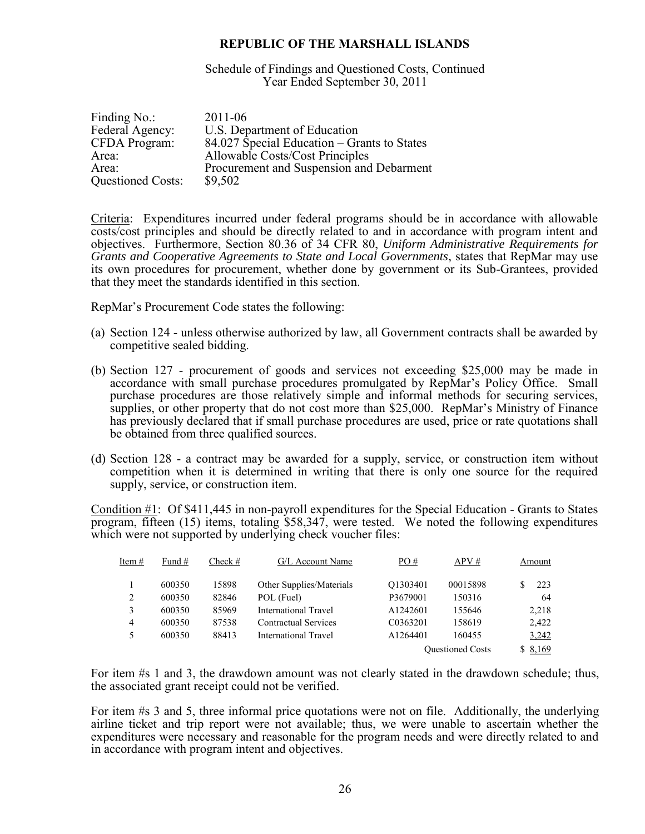Schedule of Findings and Questioned Costs, Continued Year Ended September 30, 2011

| Finding No.:             | 2011-06                                     |
|--------------------------|---------------------------------------------|
| Federal Agency:          | U.S. Department of Education                |
| CFDA Program:            | 84.027 Special Education – Grants to States |
| Area:                    | Allowable Costs/Cost Principles             |
| Area:                    | Procurement and Suspension and Debarment    |
| <b>Questioned Costs:</b> | \$9,502                                     |

Criteria: Expenditures incurred under federal programs should be in accordance with allowable costs/cost principles and should be directly related to and in accordance with program intent and objectives. Furthermore, Section 80.36 of 34 CFR 80, *Uniform Administrative Requirements for Grants and Cooperative Agreements to State and Local Governments*, states that RepMar may use its own procedures for procurement, whether done by government or its Sub-Grantees, provided that they meet the standards identified in this section.

RepMar's Procurement Code states the following:

- (a) Section 124 unless otherwise authorized by law, all Government contracts shall be awarded by competitive sealed bidding.
- (b) Section 127 procurement of goods and services not exceeding \$25,000 may be made in accordance with small purchase procedures promulgated by RepMar's Policy Office. Small purchase procedures are those relatively simple and informal methods for securing services, supplies, or other property that do not cost more than \$25,000. RepMar's Ministry of Finance has previously declared that if small purchase procedures are used, price or rate quotations shall be obtained from three qualified sources.
- (d) Section 128 a contract may be awarded for a supply, service, or construction item without competition when it is determined in writing that there is only one source for the required supply, service, or construction item.

Condition #1: Of \$411,445 in non-payroll expenditures for the Special Education - Grants to States program, fifteen (15) items, totaling \$58,347, were tested. We noted the following expenditures which were not supported by underlying check voucher files:

| Item $#$ | Fund $#$ | Check $#$ | G/L Account Name            | PO#      | APV#                    | Amount |
|----------|----------|-----------|-----------------------------|----------|-------------------------|--------|
|          | 600350   | 15898     | Other Supplies/Materials    | O1303401 | 00015898                | 223    |
| 2        | 600350   | 82846     | POL (Fuel)                  | P3679001 | 150316                  | 64     |
| 3        | 600350   | 85969     | International Travel        | A1242601 | 155646                  | 2,218  |
| 4        | 600350   | 87538     | <b>Contractual Services</b> | C0363201 | 158619                  | 2.422  |
| 5        | 600350   | 88413     | International Travel        | A1264401 | 160455                  | 3,242  |
|          |          |           |                             |          | <b>Ouestioned Costs</b> | 8,169  |

For item #s 1 and 3, the drawdown amount was not clearly stated in the drawdown schedule; thus, the associated grant receipt could not be verified.

For item #s 3 and 5, three informal price quotations were not on file. Additionally, the underlying airline ticket and trip report were not available; thus, we were unable to ascertain whether the expenditures were necessary and reasonable for the program needs and were directly related to and in accordance with program intent and objectives.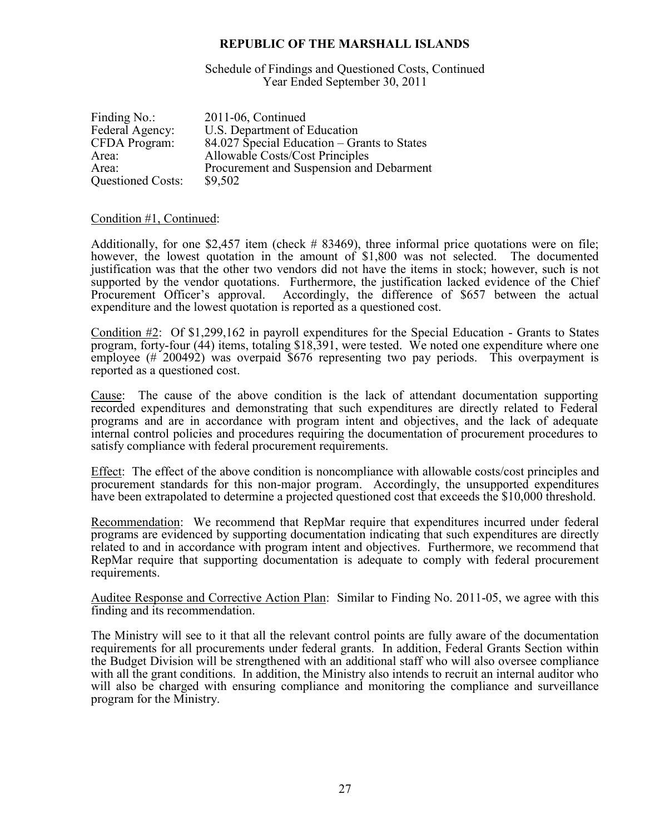Schedule of Findings and Questioned Costs, Continued Year Ended September 30, 2011

| Finding No.:             | $2011-06$ , Continued                       |
|--------------------------|---------------------------------------------|
| Federal Agency:          | U.S. Department of Education                |
| CFDA Program:            | 84.027 Special Education – Grants to States |
| Area:                    | <b>Allowable Costs/Cost Principles</b>      |
| Area:                    | Procurement and Suspension and Debarment    |
| <b>Questioned Costs:</b> | \$9,502                                     |

Condition #1, Continued:

Additionally, for one \$2,457 item (check # 83469), three informal price quotations were on file; however, the lowest quotation in the amount of \$1,800 was not selected. The documented justification was that the other two vendors did not have the items in stock; however, such is not supported by the vendor quotations. Furthermore, the justification lacked evidence of the Chief Procurement Officer's approval. Accordingly, the difference of \$657 between the actual Accordingly, the difference of \$657 between the actual expenditure and the lowest quotation is reported as a questioned cost.

Condition #2: Of \$1,299,162 in payroll expenditures for the Special Education - Grants to States program, forty-four (44) items, totaling \$18,391, were tested. We noted one expenditure where one employee (# 200492) was overpaid \$676 representing two pay periods. This overpayment is reported as a questioned cost.

Cause: The cause of the above condition is the lack of attendant documentation supporting recorded expenditures and demonstrating that such expenditures are directly related to Federal programs and are in accordance with program intent and objectives, and the lack of adequate internal control policies and procedures requiring the documentation of procurement procedures to satisfy compliance with federal procurement requirements.

Effect: The effect of the above condition is noncompliance with allowable costs/cost principles and procurement standards for this non-major program. Accordingly, the unsupported expenditures have been extrapolated to determine a projected questioned cost that exceeds the \$10,000 threshold.

Recommendation: We recommend that RepMar require that expenditures incurred under federal programs are evidenced by supporting documentation indicating that such expenditures are directly related to and in accordance with program intent and objectives. Furthermore, we recommend that RepMar require that supporting documentation is adequate to comply with federal procurement requirements.

Auditee Response and Corrective Action Plan: Similar to Finding No. 2011-05, we agree with this finding and its recommendation.

The Ministry will see to it that all the relevant control points are fully aware of the documentation requirements for all procurements under federal grants. In addition, Federal Grants Section within the Budget Division will be strengthened with an additional staff who will also oversee compliance with all the grant conditions. In addition, the Ministry also intends to recruit an internal auditor who will also be charged with ensuring compliance and monitoring the compliance and surveillance program for the Ministry.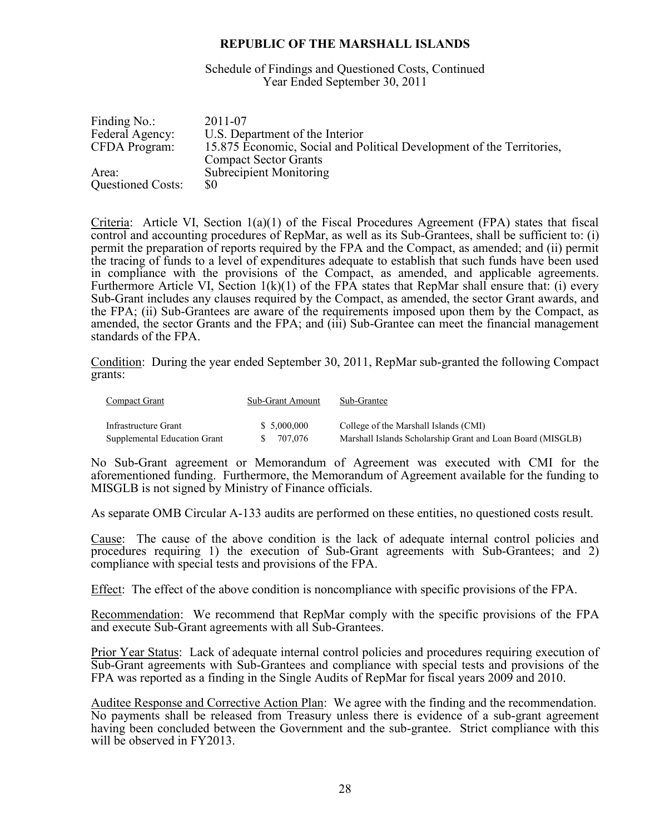Schedule of Findings and Questioned Costs, Continued Year Ended September 30, 2011

| Finding No.:             | 2011-07                                                               |
|--------------------------|-----------------------------------------------------------------------|
| Federal Agency:          | U.S. Department of the Interior                                       |
| CFDA Program:            | 15.875 Economic, Social and Political Development of the Territories, |
|                          | <b>Compact Sector Grants</b>                                          |
| Area:                    | <b>Subrecipient Monitoring</b>                                        |
| <b>Questioned Costs:</b> | \$0                                                                   |

Criteria: Article VI, Section  $1(a)(1)$  of the Fiscal Procedures Agreement (FPA) states that fiscal control and accounting procedures of RepMar, as well as its Sub-Grantees, shall be sufficient to: (i) permit the preparation of reports required by the FPA and the Compact, as amended; and (ii) permit the tracing of funds to a level of expenditures adequate to establish that such funds have been used in compliance with the provisions of the Compact, as amended, and applicable agreements. Furthermore Article VI, Section  $1(k)(1)$  of the FPA states that RepMar shall ensure that: (i) every Sub-Grant includes any clauses required by the Compact, as amended, the sector Grant awards, and the FPA; (ii) Sub-Grantees are aware of the requirements imposed upon them by the Compact, as amended, the sector Grants and the FPA; and (iii) Sub-Grantee can meet the financial management standards of the FPA.

Condition: During the year ended September 30, 2011, RepMar sub-granted the following Compact grants:

| <b>Compact Grant</b>         | <b>Sub-Grant Amount</b> | Sub-Grantee                                                |
|------------------------------|-------------------------|------------------------------------------------------------|
| Infrastructure Grant         | \$ 5,000,000            | College of the Marshall Islands (CMI)                      |
| Supplemental Education Grant | 707.076                 | Marshall Islands Scholarship Grant and Loan Board (MISGLB) |

No Sub-Grant agreement or Memorandum of Agreement was executed with CMI for the aforementioned funding. Furthermore, the Memorandum of Agreement available for the funding to MISGLB is not signed by Ministry of Finance officials.

As separate OMB Circular A-133 audits are performed on these entities, no questioned costs result.

Cause: The cause of the above condition is the lack of adequate internal control policies and procedures requiring 1) the execution of Sub-Grant agreements with Sub-Grantees; and 2) compliance with special tests and provisions of the FPA.

Effect: The effect of the above condition is noncompliance with specific provisions of the FPA.

Recommendation: We recommend that RepMar comply with the specific provisions of the FPA and execute Sub-Grant agreements with all Sub-Grantees.

Prior Year Status: Lack of adequate internal control policies and procedures requiring execution of Sub-Grant agreements with Sub-Grantees and compliance with special tests and provisions of the FPA was reported as a finding in the Single Audits of RepMar for fiscal years 2009 and 2010.

Auditee Response and Corrective Action Plan: We agree with the finding and the recommendation. No payments shall be released from Treasury unless there is evidence of a sub-grant agreement having been concluded between the Government and the sub-grantee. Strict compliance with this will be observed in FY2013.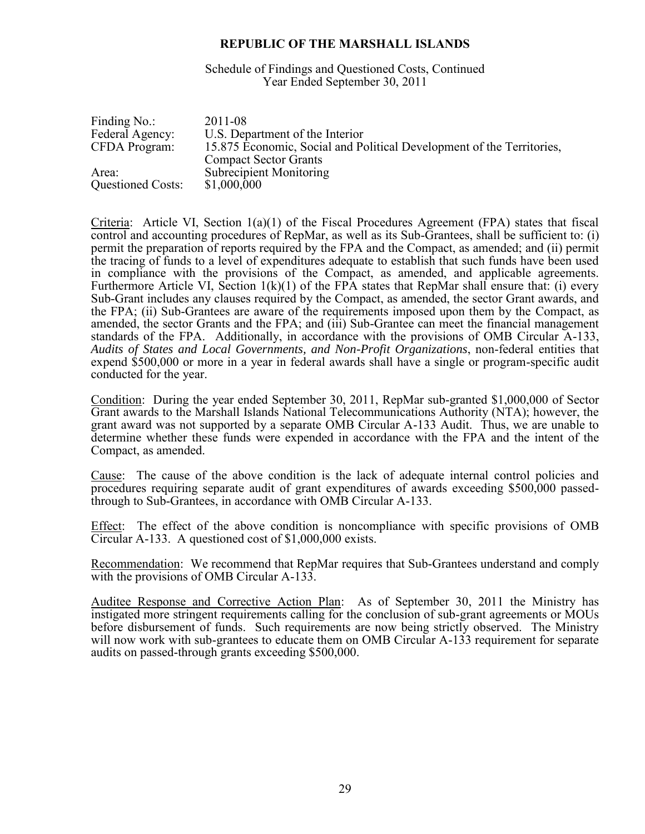Schedule of Findings and Questioned Costs, Continued Year Ended September 30, 2011

| Finding No.:             | 2011-08                                                               |
|--------------------------|-----------------------------------------------------------------------|
| Federal Agency:          | U.S. Department of the Interior                                       |
| CFDA Program:            | 15.875 Economic, Social and Political Development of the Territories, |
|                          | <b>Compact Sector Grants</b>                                          |
| Area:                    | <b>Subrecipient Monitoring</b>                                        |
| <b>Questioned Costs:</b> | \$1,000,000                                                           |

Criteria: Article VI, Section  $1(a)(1)$  of the Fiscal Procedures Agreement (FPA) states that fiscal control and accounting procedures of RepMar, as well as its Sub-Grantees, shall be sufficient to: (i) permit the preparation of reports required by the FPA and the Compact, as amended; and (ii) permit the tracing of funds to a level of expenditures adequate to establish that such funds have been used in compliance with the provisions of the Compact, as amended, and applicable agreements. Furthermore Article VI, Section  $1(k)(1)$  of the FPA states that RepMar shall ensure that: (i) every Sub-Grant includes any clauses required by the Compact, as amended, the sector Grant awards, and the FPA; (ii) Sub-Grantees are aware of the requirements imposed upon them by the Compact, as amended, the sector Grants and the FPA; and (iii) Sub-Grantee can meet the financial management standards of the FPA. Additionally, in accordance with the provisions of OMB Circular A-133, *Audits of States and Local Governments, and Non-Profit Organizations*, non-federal entities that expend \$500,000 or more in a year in federal awards shall have a single or program-specific audit conducted for the year.

Condition: During the year ended September 30, 2011, RepMar sub-granted \$1,000,000 of Sector Grant awards to the Marshall Islands National Telecommunications Authority (NTA); however, the grant award was not supported by a separate OMB Circular A-133 Audit. Thus, we are unable to determine whether these funds were expended in accordance with the FPA and the intent of the Compact, as amended.

Cause: The cause of the above condition is the lack of adequate internal control policies and procedures requiring separate audit of grant expenditures of awards exceeding \$500,000 passedthrough to Sub-Grantees, in accordance with OMB Circular A-133.

Effect: The effect of the above condition is noncompliance with specific provisions of OMB Circular A-133. A questioned cost of \$1,000,000 exists.

Recommendation: We recommend that RepMar requires that Sub-Grantees understand and comply with the provisions of OMB Circular A-133.

Auditee Response and Corrective Action Plan: As of September 30, 2011 the Ministry has instigated more stringent requirements calling for the conclusion of sub-grant agreements or MOUs before disbursement of funds. Such requirements are now being strictly observed. The Ministry will now work with sub-grantees to educate them on OMB Circular A-133 requirement for separate audits on passed-through grants exceeding \$500,000.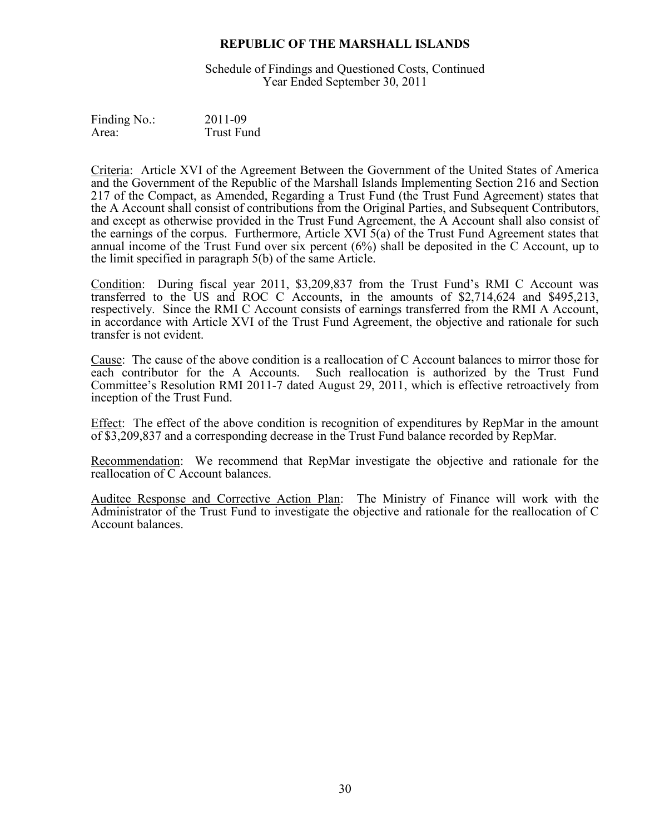Schedule of Findings and Questioned Costs, Continued Year Ended September 30, 2011

Finding No.: 2011-09<br>Area: Trust Fun **Trust Fund** 

Criteria: Article XVI of the Agreement Between the Government of the United States of America and the Government of the Republic of the Marshall Islands Implementing Section 216 and Section 217 of the Compact, as Amended, Regarding a Trust Fund (the Trust Fund Agreement) states that the A Account shall consist of contributions from the Original Parties, and Subsequent Contributors, and except as otherwise provided in the Trust Fund Agreement, the A Account shall also consist of the earnings of the corpus. Furthermore, Article XVI 5(a) of the Trust Fund Agreement states that annual income of the Trust Fund over six percent (6%) shall be deposited in the C Account, up to the limit specified in paragraph 5(b) of the same Article.

Condition: During fiscal year 2011, \$3,209,837 from the Trust Fund's RMI C Account was transferred to the US and ROC C Accounts, in the amounts of \$2,714,624 and \$495,213, respectively. Since the RMI C Account consists of earnings transferred from the RMI A Account, in accordance with Article XVI of the Trust Fund Agreement, the objective and rationale for such transfer is not evident.

Cause: The cause of the above condition is a reallocation of C Account balances to mirror those for each contributor for the A Accounts. Such reallocation is authorized by the Trust Fund Committee's Resolution RMI 2011-7 dated August 29, 2011, which is effective retroactively from inception of the Trust Fund.

Effect: The effect of the above condition is recognition of expenditures by RepMar in the amount of \$3,209,837 and a corresponding decrease in the Trust Fund balance recorded by RepMar.

Recommendation: We recommend that RepMar investigate the objective and rationale for the reallocation of C Account balances.

Auditee Response and Corrective Action Plan: The Ministry of Finance will work with the Administrator of the Trust Fund to investigate the objective and rationale for the reallocation of C Account balances.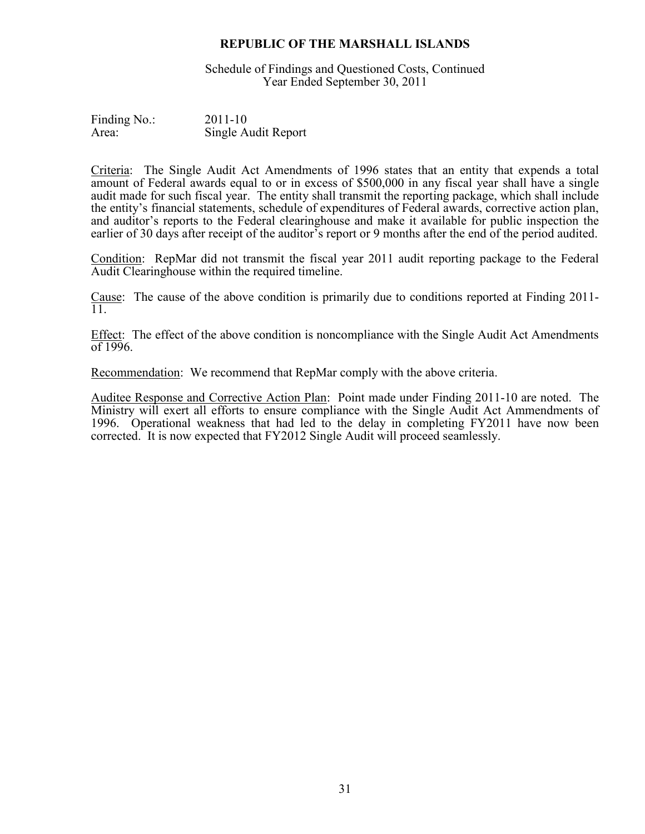Schedule of Findings and Questioned Costs, Continued Year Ended September 30, 2011

Finding No.: 2011-10<br>Area: Single A Single Audit Report

Criteria: The Single Audit Act Amendments of 1996 states that an entity that expends a total amount of Federal awards equal to or in excess of \$500,000 in any fiscal year shall have a single audit made for such fiscal year. The entity shall transmit the reporting package, which shall include the entity's financial statements, schedule of expenditures of Federal awards, corrective action plan, and auditor's reports to the Federal clearinghouse and make it available for public inspection the earlier of 30 days after receipt of the auditor's report or 9 months after the end of the period audited.

Condition: RepMar did not transmit the fiscal year 2011 audit reporting package to the Federal Audit Clearinghouse within the required timeline.

Cause: The cause of the above condition is primarily due to conditions reported at Finding 2011- 11.

Effect: The effect of the above condition is noncompliance with the Single Audit Act Amendments of 1996.

Recommendation: We recommend that RepMar comply with the above criteria.

Auditee Response and Corrective Action Plan: Point made under Finding 2011-10 are noted. The Ministry will exert all efforts to ensure compliance with the Single Audit Act Ammendments of 1996. Operational weakness that had led to the delay in completing FY2011 have now been corrected. It is now expected that FY2012 Single Audit will proceed seamlessly.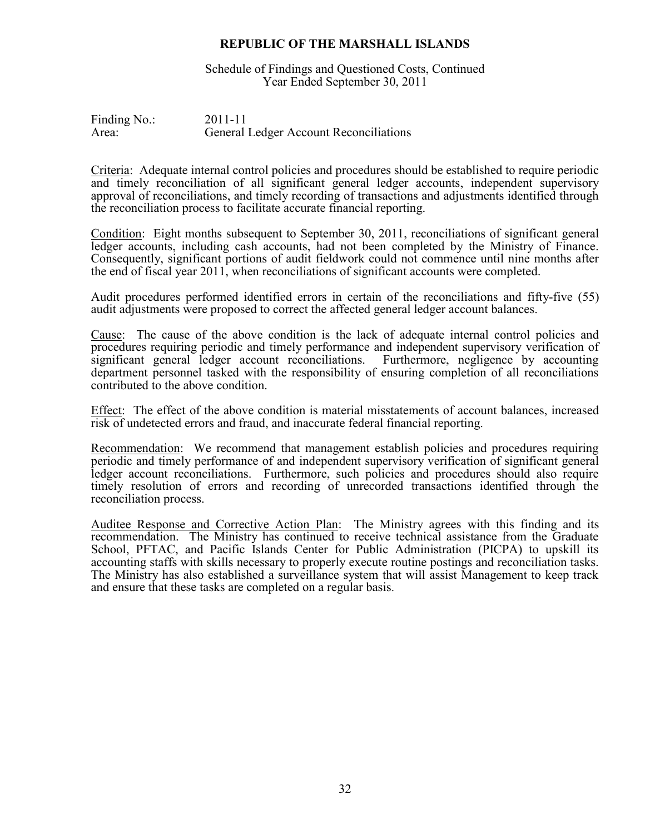Schedule of Findings and Questioned Costs, Continued Year Ended September 30, 2011

Finding No.: 2011-11<br>Area: General General Ledger Account Reconciliations

Criteria: Adequate internal control policies and procedures should be established to require periodic and timely reconciliation of all significant general ledger accounts, independent supervisory approval of reconciliations, and timely recording of transactions and adjustments identified through the reconciliation process to facilitate accurate financial reporting.

Condition: Eight months subsequent to September 30, 2011, reconciliations of significant general ledger accounts, including cash accounts, had not been completed by the Ministry of Finance. Consequently, significant portions of audit fieldwork could not commence until nine months after the end of fiscal year 2011, when reconciliations of significant accounts were completed.

Audit procedures performed identified errors in certain of the reconciliations and fifty-five (55) audit adjustments were proposed to correct the affected general ledger account balances.

Cause: The cause of the above condition is the lack of adequate internal control policies and procedures requiring periodic and timely performance and independent supervisory verification of significant general ledger account reconciliations. Furthermore, negligence by accounting department personnel tasked with the responsibility of ensuring completion of all reconciliations contributed to the above condition.

Effect: The effect of the above condition is material misstatements of account balances, increased risk of undetected errors and fraud, and inaccurate federal financial reporting.

Recommendation: We recommend that management establish policies and procedures requiring periodic and timely performance of and independent supervisory verification of significant general ledger account reconciliations. Furthermore, such policies and procedures should also require timely resolution of errors and recording of unrecorded transactions identified through the reconciliation process.

Auditee Response and Corrective Action Plan: The Ministry agrees with this finding and its recommendation. The Ministry has continued to receive technical assistance from the Graduate School, PFTAC, and Pacific Islands Center for Public Administration (PICPA) to upskill its accounting staffs with skills necessary to properly execute routine postings and reconciliation tasks. The Ministry has also established a surveillance system that will assist Management to keep track and ensure that these tasks are completed on a regular basis.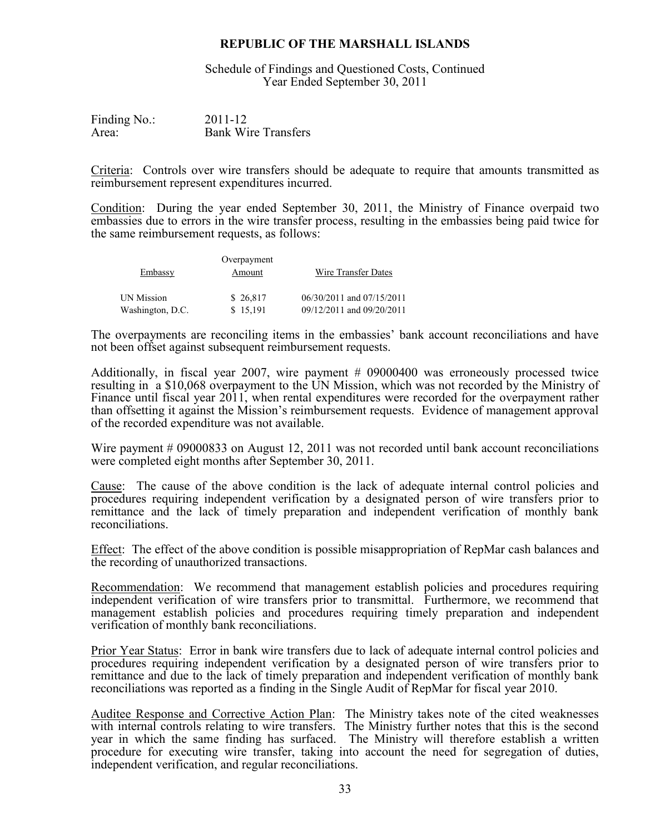Schedule of Findings and Questioned Costs, Continued Year Ended September 30, 2011

Finding No.: 2011-12<br>Area: Bank Wi **Bank Wire Transfers** 

Criteria: Controls over wire transfers should be adequate to require that amounts transmitted as reimbursement represent expenditures incurred.

Condition: During the year ended September 30, 2011, the Ministry of Finance overpaid two embassies due to errors in the wire transfer process, resulting in the embassies being paid twice for the same reimbursement requests, as follows:

|                  | Overpayment |                           |
|------------------|-------------|---------------------------|
| Embassy          | Amount      | Wire Transfer Dates       |
| UN Mission       | \$26,817    | 06/30/2011 and 07/15/2011 |
| Washington, D.C. | \$15,191    | 09/12/2011 and 09/20/2011 |

The overpayments are reconciling items in the embassies' bank account reconciliations and have not been offset against subsequent reimbursement requests.

Additionally, in fiscal year 2007, wire payment # 09000400 was erroneously processed twice resulting in a \$10,068 overpayment to the UN Mission, which was not recorded by the Ministry of Finance until fiscal year 2011, when rental expenditures were recorded for the overpayment rather than offsetting it against the Mission's reimbursement requests. Evidence of management approval of the recorded expenditure was not available.

Wire payment # 09000833 on August 12, 2011 was not recorded until bank account reconciliations were completed eight months after September 30, 2011.

Cause: The cause of the above condition is the lack of adequate internal control policies and procedures requiring independent verification by a designated person of wire transfers prior to remittance and the lack of timely preparation and independent verification of monthly bank reconciliations.

Effect: The effect of the above condition is possible misappropriation of RepMar cash balances and the recording of unauthorized transactions.

Recommendation: We recommend that management establish policies and procedures requiring independent verification of wire transfers prior to transmittal. Furthermore, we recommend that management establish policies and procedures requiring timely preparation and independent verification of monthly bank reconciliations.

Prior Year Status: Error in bank wire transfers due to lack of adequate internal control policies and procedures requiring independent verification by a designated person of wire transfers prior to remittance and due to the lack of timely preparation and independent verification of monthly bank reconciliations was reported as a finding in the Single Audit of RepMar for fiscal year 2010.

Auditee Response and Corrective Action Plan: The Ministry takes note of the cited weaknesses with internal controls relating to wire transfers. The Ministry further notes that this is the second year in which the same finding has surfaced. The Ministry will therefore establish a written procedure for executing wire transfer, taking into account the need for segregation of duties, independent verification, and regular reconciliations.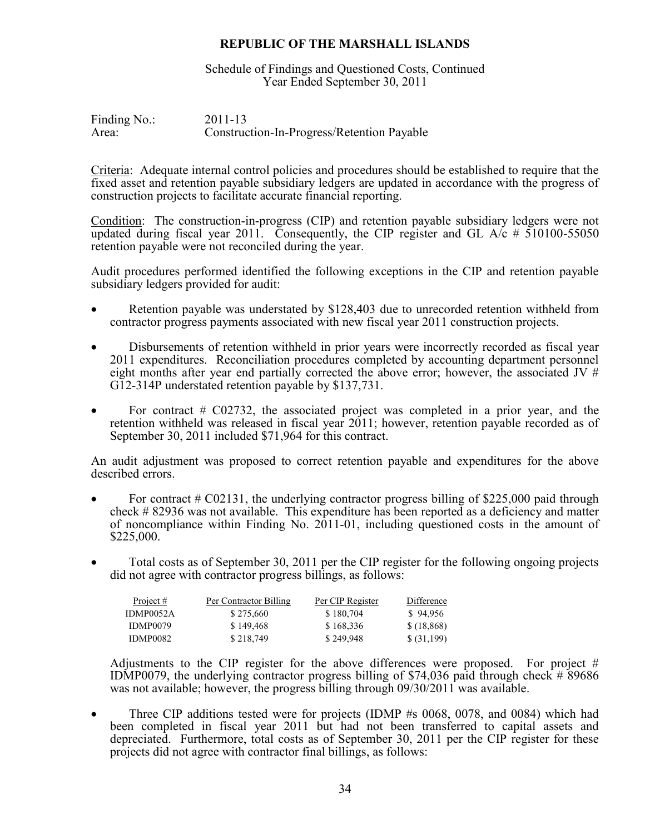Schedule of Findings and Questioned Costs, Continued Year Ended September 30, 2011

Finding No.: 2011-13<br>Area: Construc Construction-In-Progress/Retention Payable

Criteria: Adequate internal control policies and procedures should be established to require that the fixed asset and retention payable subsidiary ledgers are updated in accordance with the progress of construction projects to facilitate accurate financial reporting.

Condition: The construction-in-progress (CIP) and retention payable subsidiary ledgers were not updated during fiscal year 2011. Consequently, the CIP register and GL  $A/\tilde{c}$  # 510100-55050 retention payable were not reconciled during the year.

Audit procedures performed identified the following exceptions in the CIP and retention payable subsidiary ledgers provided for audit:

- Retention payable was understated by \$128,403 due to unrecorded retention withheld from contractor progress payments associated with new fiscal year 2011 construction projects.
- Disbursements of retention withheld in prior years were incorrectly recorded as fiscal year 2011 expenditures. Reconciliation procedures completed by accounting department personnel eight months after year end partially corrected the above error; however, the associated JV  $#$ G12-314P understated retention payable by \$137,731.
- For contract  $# \text{ } \text{C}02732$ , the associated project was completed in a prior year, and the retention withheld was released in fiscal year 2011; however, retention payable recorded as of September 30, 2011 included \$71,964 for this contract.

An audit adjustment was proposed to correct retention payable and expenditures for the above described errors.

- For contract # C02131, the underlying contractor progress billing of \$225,000 paid through check # 82936 was not available. This expenditure has been reported as a deficiency and matter of noncompliance within Finding No. 2011-01, including questioned costs in the amount of \$225,000.
- Total costs as of September 30, 2011 per the CIP register for the following ongoing projects did not agree with contractor progress billings, as follows:

| Project $#$ | Per Contractor Billing | Per CIP Register | Difference  |
|-------------|------------------------|------------------|-------------|
| IDMP0052A   | \$275,660              | \$180,704        | \$94.956    |
| IDMP0079    | \$149.468              | \$168,336        | \$(18,868)  |
| IDMP0082    | \$218,749              | \$249,948        | \$ (31,199) |

Adjustments to the CIP register for the above differences were proposed. For project # IDMP0079, the underlying contractor progress billing of \$74,036 paid through check # 89686 was not available; however, the progress billing through 09/30/2011 was available.

 Three CIP additions tested were for projects (IDMP #s 0068, 0078, and 0084) which had been completed in fiscal year 2011 but had not been transferred to capital assets and depreciated. Furthermore, total costs as of September 30, 2011 per the CIP register for these projects did not agree with contractor final billings, as follows: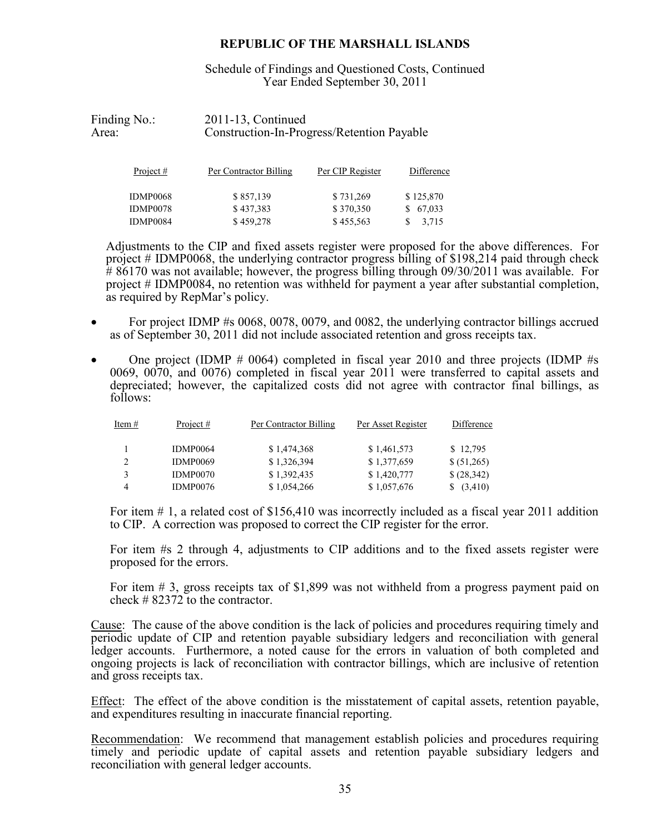Schedule of Findings and Questioned Costs, Continued Year Ended September 30, 2011

| Finding No.: | $2011-13$ , Continued                      |
|--------------|--------------------------------------------|
| Area:        | Construction-In-Progress/Retention Payable |
|              |                                            |

| Project $#$ | Per Contractor Billing | Per CIP Register | Difference |
|-------------|------------------------|------------------|------------|
| IDMP0068    | \$857,139              | \$731,269        | \$125,870  |
| IDMP0078    | \$437,383              | \$370,350        | \$67,033   |
| IDMP0084    | \$459,278              | \$455,563        | 3,715      |

Adjustments to the CIP and fixed assets register were proposed for the above differences. For project # IDMP0068, the underlying contractor progress billing of \$198,214 paid through check # 86170 was not available; however, the progress billing through 09/30/2011 was available. For project # IDMP0084, no retention was withheld for payment a year after substantial completion, as required by RepMar's policy.

- For project IDMP #s 0068, 0078, 0079, and 0082, the underlying contractor billings accrued as of September 30, 2011 did not include associated retention and gross receipts tax.
- One project (IDMP  $# 0064$ ) completed in fiscal year 2010 and three projects (IDMP  $#s$ 0069, 0070, and 0076) completed in fiscal year 2011 were transferred to capital assets and depreciated; however, the capitalized costs did not agree with contractor final billings, as follows:

| <u>Item #</u> | Project $#$     | Per Contractor Billing | Per Asset Register | Difference  |  |
|---------------|-----------------|------------------------|--------------------|-------------|--|
|               | IDMP0064        | \$1,474,368            | \$1,461,573        | \$12,795    |  |
|               | IDMP0069        | \$1,326,394            | \$1,377,659        | \$ (51,265) |  |
| κ             | IDMP0070        | \$1,392,435            | \$1,420,777        | \$ (28,342) |  |
| 4             | <b>IDMP0076</b> | \$1,054,266            | \$1,057,676        | (3,410)     |  |

For item # 1, a related cost of \$156,410 was incorrectly included as a fiscal year 2011 addition to CIP. A correction was proposed to correct the CIP register for the error.

For item #s 2 through 4, adjustments to CIP additions and to the fixed assets register were proposed for the errors.

For item # 3, gross receipts tax of \$1,899 was not withheld from a progress payment paid on check # 82372 to the contractor.

Cause: The cause of the above condition is the lack of policies and procedures requiring timely and periodic update of CIP and retention payable subsidiary ledgers and reconciliation with general ledger accounts. Furthermore, a noted cause for the errors in valuation of both completed and ongoing projects is lack of reconciliation with contractor billings, which are inclusive of retention and gross receipts tax.

Effect: The effect of the above condition is the misstatement of capital assets, retention payable, and expenditures resulting in inaccurate financial reporting.

Recommendation: We recommend that management establish policies and procedures requiring timely and periodic update of capital assets and retention payable subsidiary ledgers and reconciliation with general ledger accounts.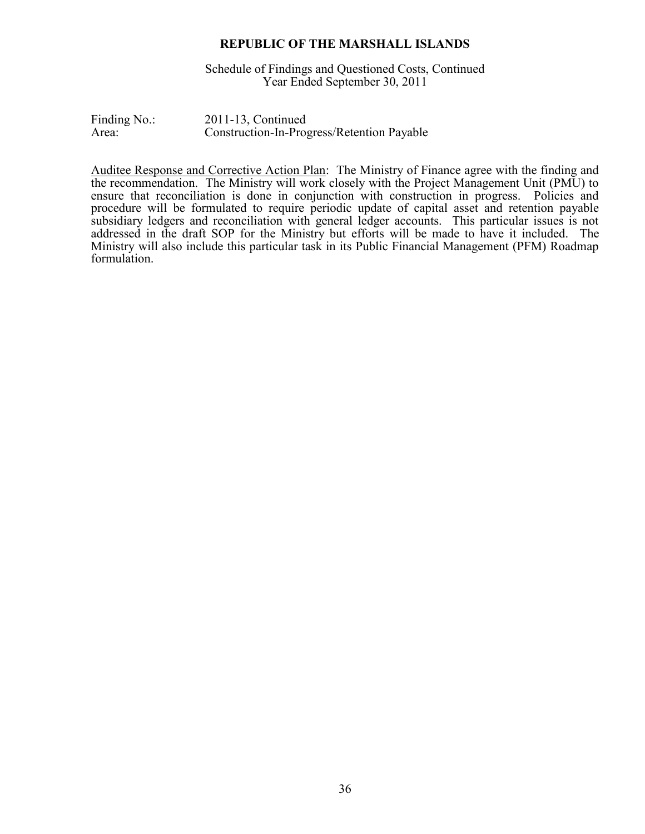Schedule of Findings and Questioned Costs, Continued Year Ended September 30, 2011

Finding No.: 2011-13, Continued<br>Area: Construction-In-Prog Construction-In-Progress/Retention Payable

Auditee Response and Corrective Action Plan: The Ministry of Finance agree with the finding and the recommendation. The Ministry will work closely with the Project Management Unit (PMU) to ensure that reconciliation is done in conjunction with construction in progress. Policies and ensure that reconciliation is done in conjunction with construction in progress. procedure will be formulated to require periodic update of capital asset and retention payable subsidiary ledgers and reconciliation with general ledger accounts. This particular issues is not addressed in the draft SOP for the Ministry but efforts will be made to have it included. The Ministry will also include this particular task in its Public Financial Management (PFM) Roadmap formulation.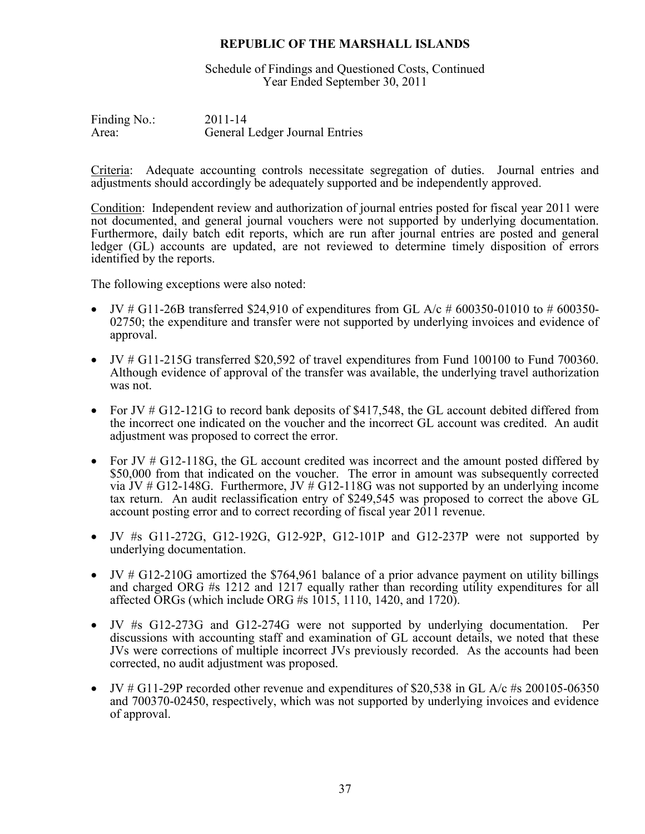Schedule of Findings and Questioned Costs, Continued Year Ended September 30, 2011

Finding No.: 2011-14<br>Area: General 1 General Ledger Journal Entries

Criteria: Adequate accounting controls necessitate segregation of duties. Journal entries and adjustments should accordingly be adequately supported and be independently approved.

Condition: Independent review and authorization of journal entries posted for fiscal year 2011 were not documented, and general journal vouchers were not supported by underlying documentation. Furthermore, daily batch edit reports, which are run after journal entries are posted and general ledger (GL) accounts are updated, are not reviewed to determine timely disposition of errors identified by the reports.

The following exceptions were also noted:

- JV # G11-26B transferred \$24,910 of expenditures from GL A/c # 600350-01010 to # 600350-02750; the expenditure and transfer were not supported by underlying invoices and evidence of approval.
- JV # G11-215G transferred \$20,592 of travel expenditures from Fund 100100 to Fund 700360. Although evidence of approval of the transfer was available, the underlying travel authorization was not.
- For JV  $\#$  G12-121G to record bank deposits of \$417,548, the GL account debited differed from the incorrect one indicated on the voucher and the incorrect GL account was credited. An audit adjustment was proposed to correct the error.
- For JV  $\#$  G12-118G, the GL account credited was incorrect and the amount posted differed by \$50,000 from that indicated on the voucher. The error in amount was subsequently corrected via JV  $\#$  G12-148G. Furthermore, JV  $\#$  G12-118G was not supported by an underlying income tax return. An audit reclassification entry of \$249,545 was proposed to correct the above GL account posting error and to correct recording of fiscal year 2011 revenue.
- JV #s G11-272G, G12-192G, G12-92P, G12-101P and G12-237P were not supported by underlying documentation.
- $\bullet$  JV # G12-210G amortized the \$764,961 balance of a prior advance payment on utility billings and charged ORG #s 1212 and 1217 equally rather than recording utility expenditures for all affected ORGs (which include ORG #s 1015, 1110, 1420, and 1720).
- JV #s G12-273G and G12-274G were not supported by underlying documentation. Per discussions with accounting staff and examination of GL account details, we noted that these JVs were corrections of multiple incorrect JVs previously recorded. As the accounts had been corrected, no audit adjustment was proposed.
- JV  $\#$  G11-29P recorded other revenue and expenditures of \$20,538 in GL A/c  $\#s$  200105-06350 and 700370-02450, respectively, which was not supported by underlying invoices and evidence of approval.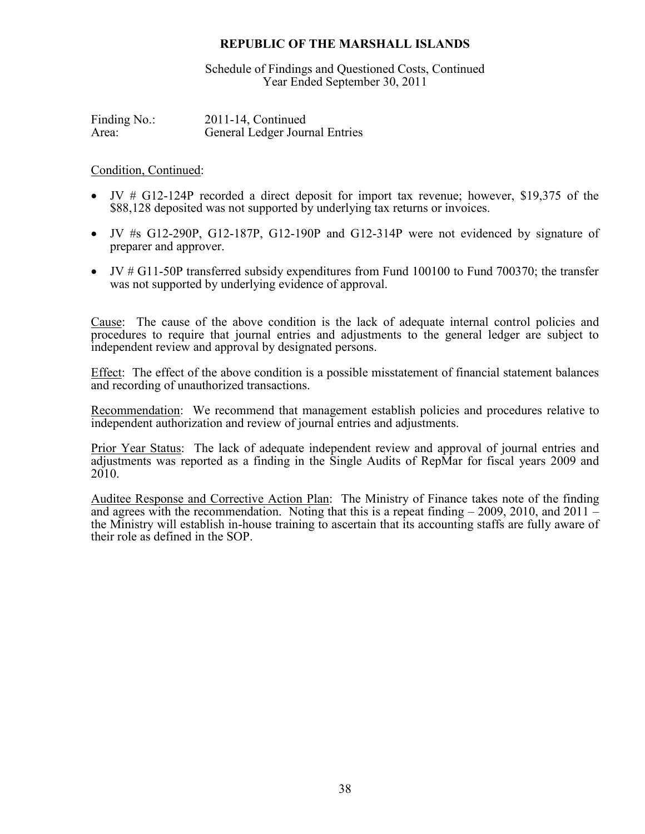Schedule of Findings and Questioned Costs, Continued Year Ended September 30, 2011

Finding No.: 2011-14, Continued<br>Area: General Ledger Jour General Ledger Journal Entries

### Condition, Continued:

- JV  $\#$  G12-124P recorded a direct deposit for import tax revenue; however, \$19,375 of the \$88,128 deposited was not supported by underlying tax returns or invoices.
- JV #s G12-290P, G12-187P, G12-190P and G12-314P were not evidenced by signature of preparer and approver.
- $\bullet$  JV # G11-50P transferred subsidy expenditures from Fund 100100 to Fund 700370; the transfer was not supported by underlying evidence of approval.

Cause: The cause of the above condition is the lack of adequate internal control policies and procedures to require that journal entries and adjustments to the general ledger are subject to independent review and approval by designated persons.

Effect: The effect of the above condition is a possible misstatement of financial statement balances and recording of unauthorized transactions.

Recommendation: We recommend that management establish policies and procedures relative to independent authorization and review of journal entries and adjustments.

Prior Year Status: The lack of adequate independent review and approval of journal entries and adjustments was reported as a finding in the Single Audits of RepMar for fiscal years 2009 and 2010.

Auditee Response and Corrective Action Plan: The Ministry of Finance takes note of the finding and agrees with the recommendation. Noting that this is a repeat finding  $-2009$ , 2010, and 2011 – the Ministry will establish in-house training to ascertain that its accounting staffs are fully aware of their role as defined in the SOP.